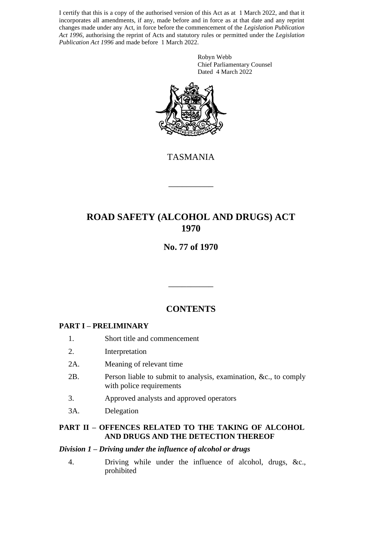I certify that this is a copy of the authorised version of this Act as at 1 March 2022, and that it incorporates all amendments, if any, made before and in force as at that date and any reprint changes made under any Act, in force before the commencement of the *Legislation Publication Act 1996*, authorising the reprint of Acts and statutory rules or permitted under the *Legislation Publication Act 1996* and made before 1 March 2022.

> Robyn Webb Chief Parliamentary Counsel Dated 4 March 2022



TASMANIA

\_\_\_\_\_\_\_\_\_\_

# **ROAD SAFETY (ALCOHOL AND DRUGS) ACT 1970**

# **No. 77 of 1970**

# **CONTENTS**

\_\_\_\_\_\_\_\_\_\_

## **PART I – PRELIMINARY**

- 1. Short title and commencement
- 2. Interpretation
- 2A. Meaning of relevant time
- 2B. Person liable to submit to analysis, examination, &c., to comply with police requirements
- 3. Approved analysts and approved operators
- 3A. Delegation

#### **PART II – OFFENCES RELATED TO THE TAKING OF ALCOHOL AND DRUGS AND THE DETECTION THEREOF**

#### *Division 1 – Driving under the influence of alcohol or drugs*

4. Driving while under the influence of alcohol, drugs, &c., prohibited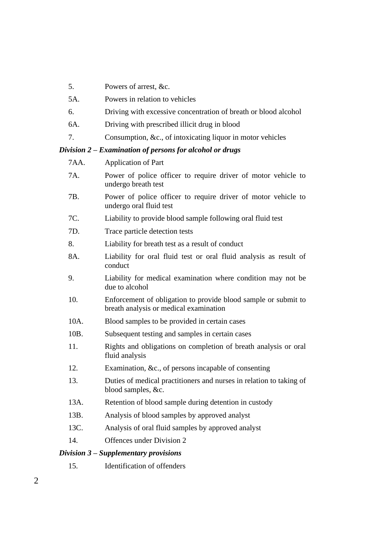- 5. Powers of arrest, &c.
- 5A. Powers in relation to vehicles
- 6. Driving with excessive concentration of breath or blood alcohol
- 6A. Driving with prescribed illicit drug in blood
- 7. Consumption, &c., of intoxicating liquor in motor vehicles

## *Division 2 – Examination of persons for alcohol or drugs*

| 7AA. | <b>Application of Part</b>                                                                               |
|------|----------------------------------------------------------------------------------------------------------|
| 7A.  | Power of police officer to require driver of motor vehicle to<br>undergo breath test                     |
| 7B.  | Power of police officer to require driver of motor vehicle to<br>undergo oral fluid test                 |
| 7C.  | Liability to provide blood sample following oral fluid test                                              |
| 7D.  | Trace particle detection tests                                                                           |
| 8.   | Liability for breath test as a result of conduct                                                         |
| 8A.  | Liability for oral fluid test or oral fluid analysis as result of<br>conduct                             |
| 9.   | Liability for medical examination where condition may not be<br>due to alcohol                           |
| 10.  | Enforcement of obligation to provide blood sample or submit to<br>breath analysis or medical examination |
| 10A. | Blood samples to be provided in certain cases                                                            |
| 10B. | Subsequent testing and samples in certain cases                                                          |
| 11.  | Rights and obligations on completion of breath analysis or oral<br>fluid analysis                        |
| 12.  | Examination, &c., of persons incapable of consenting                                                     |
| 13.  | Duties of medical practitioners and nurses in relation to taking of<br>blood samples, &c.                |
| 13A. | Retention of blood sample during detention in custody                                                    |
| 13B. | Analysis of blood samples by approved analyst                                                            |
| 13C. | Analysis of oral fluid samples by approved analyst                                                       |
| 14.  | Offences under Division 2                                                                                |
|      | Division 3 – Supplementary provisions                                                                    |

15. Identification of offenders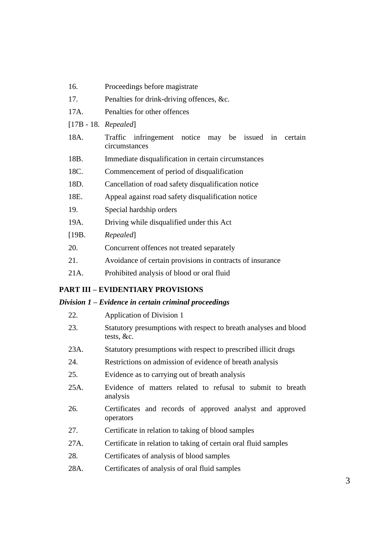| 16.                   | Proceedings before magistrate                                            |  |  |  |
|-----------------------|--------------------------------------------------------------------------|--|--|--|
| 17.                   | Penalties for drink-driving offences, &c.                                |  |  |  |
| 17A.                  | Penalties for other offences                                             |  |  |  |
| $[17B - 18.$ Repealed |                                                                          |  |  |  |
| 18A.                  | Traffic infringement notice may be issued in<br>certain<br>circumstances |  |  |  |
| 18B.                  | Immediate disqualification in certain circumstances                      |  |  |  |
| 18C.                  | Commencement of period of disqualification                               |  |  |  |
| 18D.                  | Cancellation of road safety disqualification notice                      |  |  |  |
| 18E.                  | Appeal against road safety disqualification notice                       |  |  |  |
| 19.                   | Special hardship orders                                                  |  |  |  |
| 19A.                  | Driving while disqualified under this Act                                |  |  |  |
| [19B.                 | Repealed]                                                                |  |  |  |
| 20.                   | Concurrent offences not treated separately                               |  |  |  |
| 21.                   | Avoidance of certain provisions in contracts of insurance                |  |  |  |
| 21A.                  | Prohibited analysis of blood or oral fluid                               |  |  |  |

## **PART III – EVIDENTIARY PROVISIONS**

# *Division 1 – Evidence in certain criminal proceedings*

| 22.  | <b>Application of Division 1</b>                                                 |
|------|----------------------------------------------------------------------------------|
| 23.  | Statutory presumptions with respect to breath analyses and blood<br>tests, $&c.$ |
| 23A. | Statutory presumptions with respect to prescribed illicit drugs                  |
| 24.  | Restrictions on admission of evidence of breath analysis                         |
| 25.  | Evidence as to carrying out of breath analysis                                   |
| 25A. | Evidence of matters related to refusal to submit to breath<br>analysis           |
| 26.  | Certificates and records of approved analyst and approved<br>operators           |
| 27.  | Certificate in relation to taking of blood samples                               |
| 27A. | Certificate in relation to taking of certain oral fluid samples                  |
| 28.  | Certificates of analysis of blood samples                                        |
| 28A. | Certificates of analysis of oral fluid samples                                   |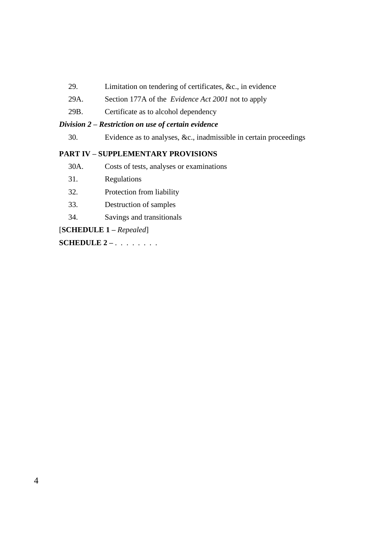- 29. Limitation on tendering of certificates, &c., in evidence
- 29A. Section 177A of the *Evidence Act 2001* not to apply
- 29B. Certificate as to alcohol dependency

#### *Division 2 – Restriction on use of certain evidence*

30. Evidence as to analyses, &c., inadmissible in certain proceedings

#### **PART IV – SUPPLEMENTARY PROVISIONS**

- 30A. Costs of tests, analyses or examinations
- 31. Regulations
- 32. Protection from liability
- 33. Destruction of samples
- 34. Savings and transitionals

[**SCHEDULE 1 –** *Repealed*]

**SCHEDULE 2 –** . . . . . . . .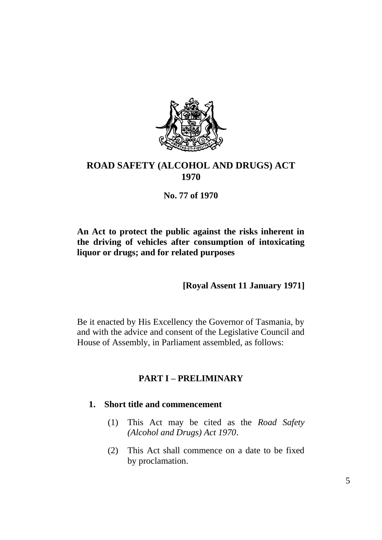

# **ROAD SAFETY (ALCOHOL AND DRUGS) ACT 1970**

**No. 77 of 1970**

## **An Act to protect the public against the risks inherent in the driving of vehicles after consumption of intoxicating liquor or drugs; and for related purposes**

**[Royal Assent 11 January 1971]**

Be it enacted by His Excellency the Governor of Tasmania, by and with the advice and consent of the Legislative Council and House of Assembly, in Parliament assembled, as follows:

# **PART I – PRELIMINARY**

## **1. Short title and commencement**

- (1) This Act may be cited as the *Road Safety (Alcohol and Drugs) Act 1970*.
- (2) This Act shall commence on a date to be fixed by proclamation.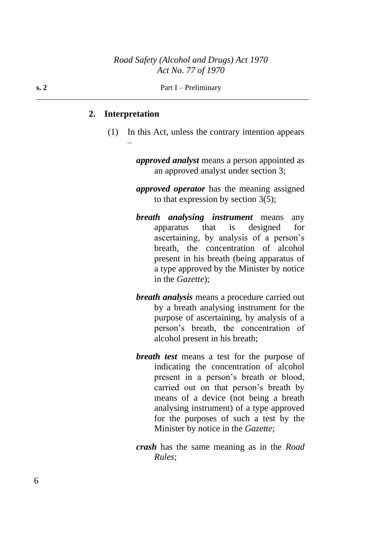#### **2. Interpretation**

–

(1) In this Act, unless the contrary intention appears

*approved analyst* means a person appointed as an approved analyst under section 3;

*approved operator* has the meaning assigned to that expression by section  $3(5)$ ;

- *breath analysing instrument* means any apparatus that is designed for ascertaining, by analysis of a person's breath, the concentration of alcohol present in his breath (being apparatus of a type approved by the Minister by notice in the *Gazette*);
- *breath analysis* means a procedure carried out by a breath analysing instrument for the purpose of ascertaining, by analysis of a person's breath, the concentration of alcohol present in his breath;
- *breath test* means a test for the purpose of indicating the concentration of alcohol present in a person's breath or blood, carried out on that person's breath by means of a device (not being a breath analysing instrument) of a type approved for the purposes of such a test by the Minister by notice in the *Gazette*;
- *crash* has the same meaning as in the *Road Rules*;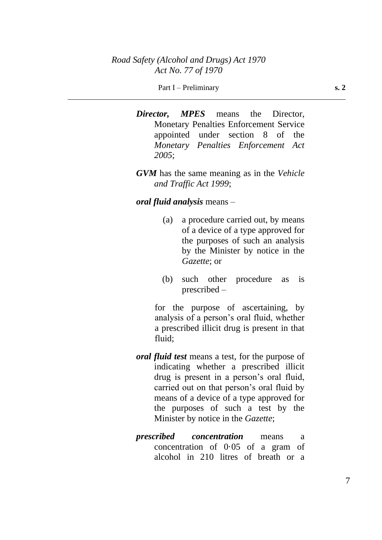#### Part I – Preliminary **s. 2**

*Director, MPES* means the Director, Monetary Penalties Enforcement Service appointed under section 8 of the *Monetary Penalties Enforcement Act 2005*;

*GVM* has the same meaning as in the *Vehicle and Traffic Act 1999*;

#### *oral fluid analysis* means –

- (a) a procedure carried out, by means of a device of a type approved for the purposes of such an analysis by the Minister by notice in the *Gazette*; or
- (b) such other procedure as is prescribed –

for the purpose of ascertaining, by analysis of a person's oral fluid, whether a prescribed illicit drug is present in that fluid;

- *oral fluid test* means a test, for the purpose of indicating whether a prescribed illicit drug is present in a person's oral fluid, carried out on that person's oral fluid by means of a device of a type approved for the purposes of such a test by the Minister by notice in the *Gazette*;
- *prescribed concentration* means a concentration of 0·05 of a gram of alcohol in 210 litres of breath or a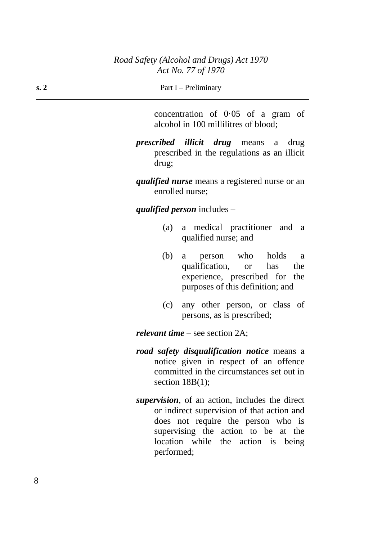| Part I – Preliminary |
|----------------------|
|                      |

concentration of 0·05 of a gram of alcohol in 100 millilitres of blood;

*prescribed illicit drug* means a drug prescribed in the regulations as an illicit drug;

*qualified nurse* means a registered nurse or an enrolled nurse;

*qualified person* includes –

- (a) a medical practitioner and a qualified nurse; and
- (b) a person who holds a qualification, or has the experience, prescribed for the purposes of this definition; and
- (c) any other person, or class of persons, as is prescribed;

*relevant time* – see section 2A;

- *road safety disqualification notice* means a notice given in respect of an offence committed in the circumstances set out in section 18B(1);
- *supervision*, of an action, includes the direct or indirect supervision of that action and does not require the person who is supervising the action to be at the location while the action is being performed;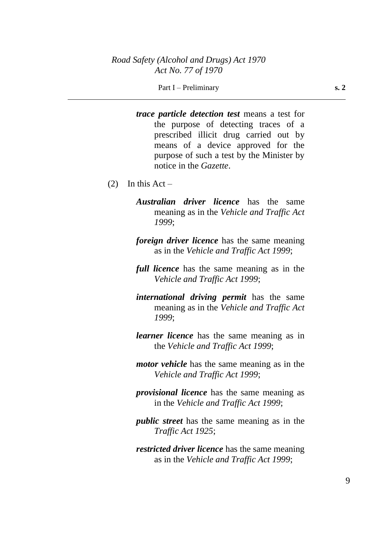*trace particle detection test* means a test for the purpose of detecting traces of a prescribed illicit drug carried out by means of a device approved for the purpose of such a test by the Minister by notice in the *Gazette*.

- (2) In this Act
	- *Australian driver licence* has the same meaning as in the *Vehicle and Traffic Act 1999*;
	- *foreign driver licence* has the same meaning as in the *Vehicle and Traffic Act 1999*;
	- *full licence* has the same meaning as in the *Vehicle and Traffic Act 1999*;
	- *international driving permit* has the same meaning as in the *Vehicle and Traffic Act 1999*;
	- *learner licence* has the same meaning as in the *Vehicle and Traffic Act 1999*;
	- *motor vehicle* has the same meaning as in the *Vehicle and Traffic Act 1999*;
	- *provisional licence* has the same meaning as in the *Vehicle and Traffic Act 1999*;
	- *public street* has the same meaning as in the *Traffic Act 1925*;
	- *restricted driver licence* has the same meaning as in the *Vehicle and Traffic Act 1999*;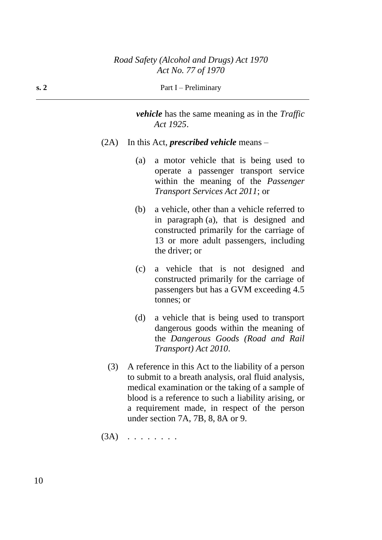| s. 2 | Part I – Preliminary |
|------|----------------------|
|------|----------------------|

*vehicle* has the same meaning as in the *Traffic Act 1925*.

- (2A) In this Act, *prescribed vehicle* means
	- (a) a motor vehicle that is being used to operate a passenger transport service within the meaning of the *Passenger Transport Services Act 2011*; or
	- (b) a vehicle, other than a vehicle referred to in paragraph (a), that is designed and constructed primarily for the carriage of 13 or more adult passengers, including the driver; or
	- (c) a vehicle that is not designed and constructed primarily for the carriage of passengers but has a GVM exceeding 4.5 tonnes; or
	- (d) a vehicle that is being used to transport dangerous goods within the meaning of the *Dangerous Goods (Road and Rail Transport) Act 2010*.
	- (3) A reference in this Act to the liability of a person to submit to a breath analysis, oral fluid analysis, medical examination or the taking of a sample of blood is a reference to such a liability arising, or a requirement made, in respect of the person under section 7A, 7B, 8, 8A or 9.

 $(3A)$  . . . . . . . .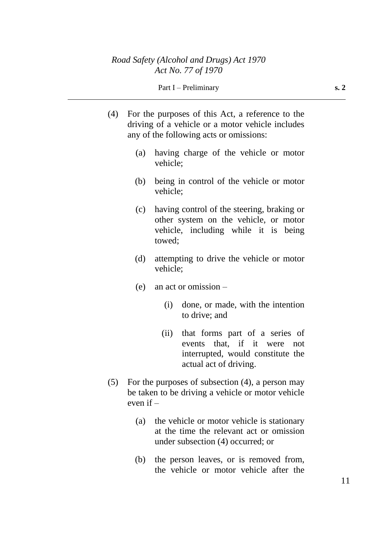#### Part I – Preliminary **s. 2**

- (4) For the purposes of this Act, a reference to the driving of a vehicle or a motor vehicle includes any of the following acts or omissions:
	- (a) having charge of the vehicle or motor vehicle;
	- (b) being in control of the vehicle or motor vehicle;
	- (c) having control of the steering, braking or other system on the vehicle, or motor vehicle, including while it is being towed;
	- (d) attempting to drive the vehicle or motor vehicle;
	- (e) an act or omission
		- (i) done, or made, with the intention to drive; and
		- (ii) that forms part of a series of events that, if it were not interrupted, would constitute the actual act of driving.
- (5) For the purposes of subsection (4), a person may be taken to be driving a vehicle or motor vehicle even if  $-$ 
	- (a) the vehicle or motor vehicle is stationary at the time the relevant act or omission under subsection (4) occurred; or
	- (b) the person leaves, or is removed from, the vehicle or motor vehicle after the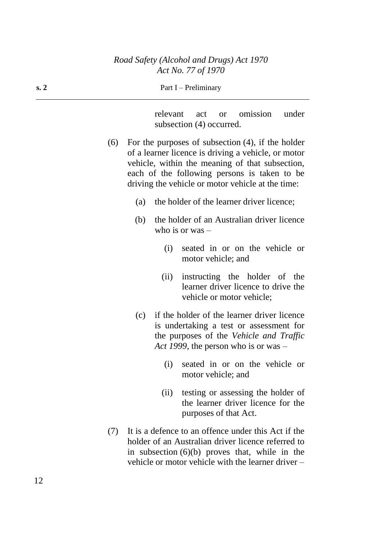| s.2 | Part I – Preliminary                                                                                                                                                                                                                                                |  |
|-----|---------------------------------------------------------------------------------------------------------------------------------------------------------------------------------------------------------------------------------------------------------------------|--|
|     | relevant<br>omission<br>under<br>act<br><b>or</b><br>subsection (4) occurred.                                                                                                                                                                                       |  |
| (6) | For the purposes of subsection $(4)$ , if the holder<br>of a learner licence is driving a vehicle, or motor<br>vehicle, within the meaning of that subsection,<br>each of the following persons is taken to be<br>driving the vehicle or motor vehicle at the time: |  |
|     | the holder of the learner driver licence;<br>(a)                                                                                                                                                                                                                    |  |
|     | the holder of an Australian driver licence<br>(b)<br>who is or was $-$                                                                                                                                                                                              |  |
|     | seated in or on the vehicle or<br>(i)<br>motor vehicle; and                                                                                                                                                                                                         |  |
|     | instructing the holder of the<br>(ii)<br>learner driver licence to drive the<br>vehicle or motor vehicle;                                                                                                                                                           |  |
|     | if the holder of the learner driver licence<br>(c)<br>is undertaking a test or assessment for<br>the purposes of the Vehicle and Traffic<br>Act 1999, the person who is or was –                                                                                    |  |
|     | seated in or on the vehicle or<br>(i)<br>motor vehicle; and                                                                                                                                                                                                         |  |
|     | testing or assessing the holder of<br>(ii)<br>the learner driver licence for the<br>purposes of that Act.                                                                                                                                                           |  |
| (7) | It is a defence to an offence under this Act if the<br>holder of an Australian driver licence referred to<br>in subsection $(6)(b)$ proves that, while in the<br>vehicle or motor vehicle with the learner driver –                                                 |  |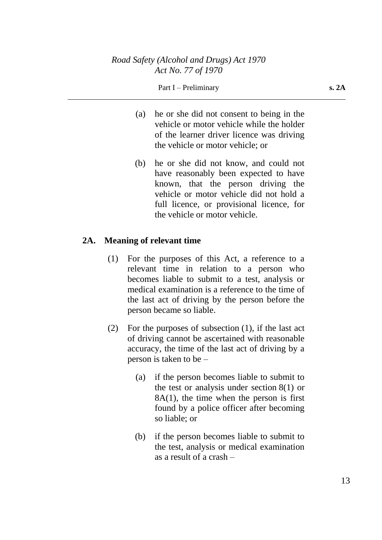#### Part I – Preliminary **s. 2A**

- (a) he or she did not consent to being in the vehicle or motor vehicle while the holder of the learner driver licence was driving the vehicle or motor vehicle; or
- (b) he or she did not know, and could not have reasonably been expected to have known, that the person driving the vehicle or motor vehicle did not hold a full licence, or provisional licence, for the vehicle or motor vehicle.

## **2A. Meaning of relevant time**

- (1) For the purposes of this Act, a reference to a relevant time in relation to a person who becomes liable to submit to a test, analysis or medical examination is a reference to the time of the last act of driving by the person before the person became so liable.
- (2) For the purposes of subsection (1), if the last act of driving cannot be ascertained with reasonable accuracy, the time of the last act of driving by a person is taken to be –
	- (a) if the person becomes liable to submit to the test or analysis under section 8(1) or  $8A(1)$ , the time when the person is first found by a police officer after becoming so liable; or
	- (b) if the person becomes liable to submit to the test, analysis or medical examination as a result of a crash –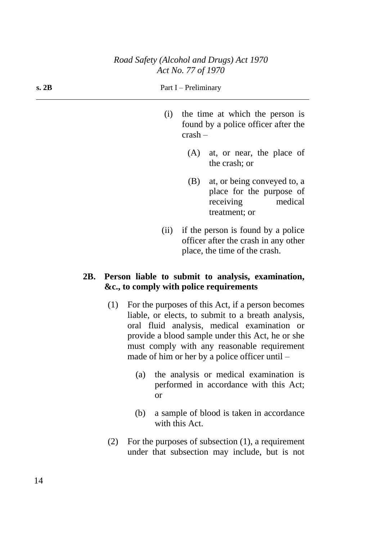| s. 2B |      | Part I – Preliminary |                                                                                                             |
|-------|------|----------------------|-------------------------------------------------------------------------------------------------------------|
|       | (1)  | $crash-$             | the time at which the person is<br>found by a police officer after the                                      |
|       |      | (A)                  | at, or near, the place of<br>the crash; or                                                                  |
|       |      | (B)                  | at, or being conveyed to, a<br>place for the purpose of<br>medical<br>receiving<br>treatment; or            |
|       | (ii) |                      | if the person is found by a police<br>officer after the crash in any other<br>place, the time of the crash. |

## **2B. Person liable to submit to analysis, examination, &c., to comply with police requirements**

- (1) For the purposes of this Act, if a person becomes liable, or elects, to submit to a breath analysis, oral fluid analysis, medical examination or provide a blood sample under this Act, he or she must comply with any reasonable requirement made of him or her by a police officer until –
	- (a) the analysis or medical examination is performed in accordance with this Act; or
	- (b) a sample of blood is taken in accordance with this Act.
- (2) For the purposes of subsection (1), a requirement under that subsection may include, but is not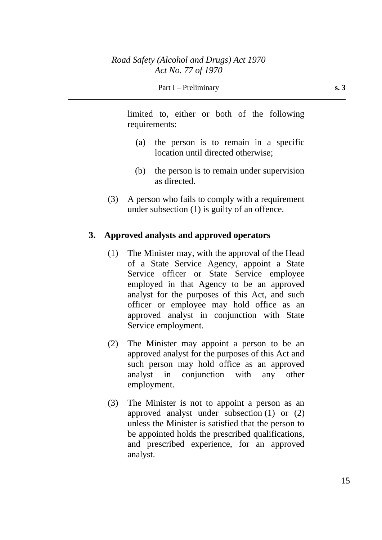limited to, either or both of the following requirements:

- (a) the person is to remain in a specific location until directed otherwise;
- (b) the person is to remain under supervision as directed.
- (3) A person who fails to comply with a requirement under subsection (1) is guilty of an offence.

## **3. Approved analysts and approved operators**

- (1) The Minister may, with the approval of the Head of a State Service Agency, appoint a State Service officer or State Service employee employed in that Agency to be an approved analyst for the purposes of this Act, and such officer or employee may hold office as an approved analyst in conjunction with State Service employment.
- (2) The Minister may appoint a person to be an approved analyst for the purposes of this Act and such person may hold office as an approved analyst in conjunction with any other employment.
- (3) The Minister is not to appoint a person as an approved analyst under subsection (1) or (2) unless the Minister is satisfied that the person to be appointed holds the prescribed qualifications, and prescribed experience, for an approved analyst.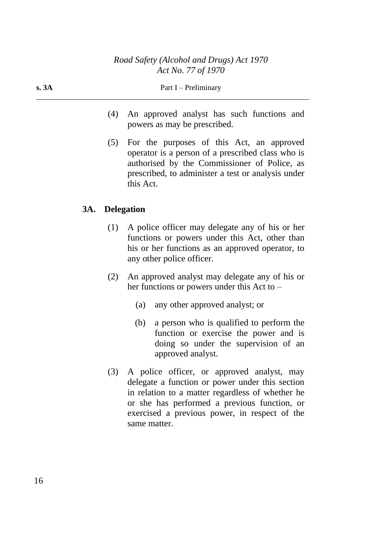- (4) An approved analyst has such functions and powers as may be prescribed.
- (5) For the purposes of this Act, an approved operator is a person of a prescribed class who is authorised by the Commissioner of Police, as prescribed, to administer a test or analysis under this Act.

## **3A. Delegation**

- (1) A police officer may delegate any of his or her functions or powers under this Act, other than his or her functions as an approved operator, to any other police officer.
- (2) An approved analyst may delegate any of his or her functions or powers under this Act to –
	- (a) any other approved analyst; or
	- (b) a person who is qualified to perform the function or exercise the power and is doing so under the supervision of an approved analyst.
- (3) A police officer, or approved analyst, may delegate a function or power under this section in relation to a matter regardless of whether he or she has performed a previous function, or exercised a previous power, in respect of the same matter.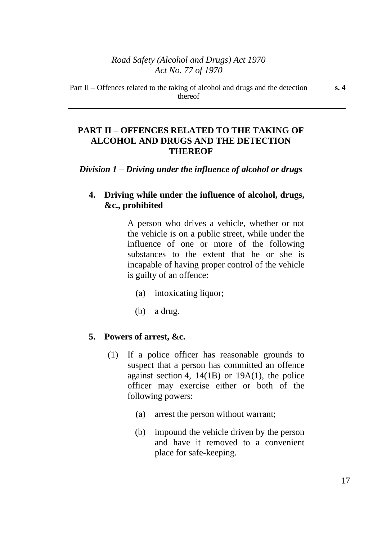## **PART II – OFFENCES RELATED TO THE TAKING OF ALCOHOL AND DRUGS AND THE DETECTION THEREOF**

### *Division 1 – Driving under the influence of alcohol or drugs*

## **4. Driving while under the influence of alcohol, drugs, &c., prohibited**

A person who drives a vehicle, whether or not the vehicle is on a public street, while under the influence of one or more of the following substances to the extent that he or she is incapable of having proper control of the vehicle is guilty of an offence:

- (a) intoxicating liquor;
- (b) a drug.

#### **5. Powers of arrest, &c.**

- (1) If a police officer has reasonable grounds to suspect that a person has committed an offence against section 4,  $14(1B)$  or  $19A(1)$ , the police officer may exercise either or both of the following powers:
	- (a) arrest the person without warrant;
	- (b) impound the vehicle driven by the person and have it removed to a convenient place for safe-keeping.

**s. 4**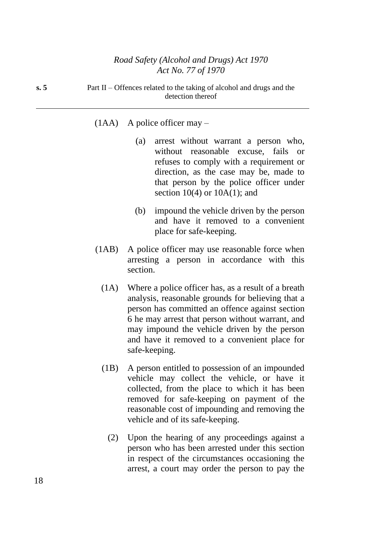**s. 5** Part II – Offences related to the taking of alcohol and drugs and the detection thereof

### (1AA) A police officer may –

- (a) arrest without warrant a person who, without reasonable excuse, fails or refuses to comply with a requirement or direction, as the case may be, made to that person by the police officer under section  $10(4)$  or  $10A(1)$ ; and
- (b) impound the vehicle driven by the person and have it removed to a convenient place for safe-keeping.
- (1AB) A police officer may use reasonable force when arresting a person in accordance with this section.
	- (1A) Where a police officer has, as a result of a breath analysis, reasonable grounds for believing that a person has committed an offence against section 6 he may arrest that person without warrant, and may impound the vehicle driven by the person and have it removed to a convenient place for safe-keeping.
	- (1B) A person entitled to possession of an impounded vehicle may collect the vehicle, or have it collected, from the place to which it has been removed for safe-keeping on payment of the reasonable cost of impounding and removing the vehicle and of its safe-keeping.
		- (2) Upon the hearing of any proceedings against a person who has been arrested under this section in respect of the circumstances occasioning the arrest, a court may order the person to pay the

18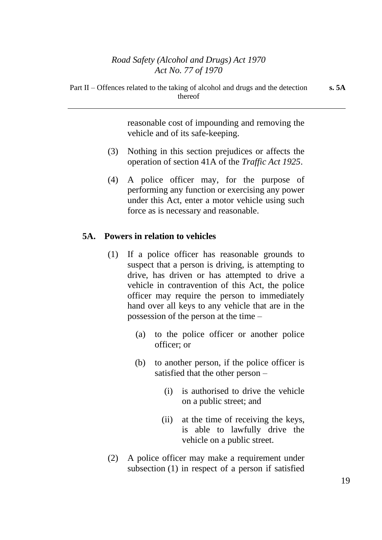Part II – Offences related to the taking of alcohol and drugs and the detection thereof

reasonable cost of impounding and removing the vehicle and of its safe-keeping.

- (3) Nothing in this section prejudices or affects the operation of section 41A of the *Traffic Act 1925*.
- (4) A police officer may, for the purpose of performing any function or exercising any power under this Act, enter a motor vehicle using such force as is necessary and reasonable.

## **5A. Powers in relation to vehicles**

- (1) If a police officer has reasonable grounds to suspect that a person is driving, is attempting to drive, has driven or has attempted to drive a vehicle in contravention of this Act, the police officer may require the person to immediately hand over all keys to any vehicle that are in the possession of the person at the time –
	- (a) to the police officer or another police officer; or
	- (b) to another person, if the police officer is satisfied that the other person –
		- (i) is authorised to drive the vehicle on a public street; and
		- (ii) at the time of receiving the keys, is able to lawfully drive the vehicle on a public street.
- (2) A police officer may make a requirement under subsection (1) in respect of a person if satisfied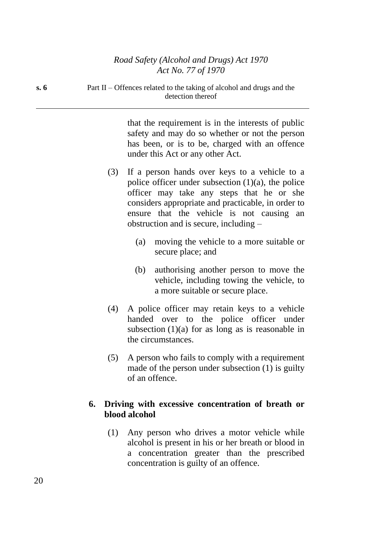that the requirement is in the interests of public safety and may do so whether or not the person has been, or is to be, charged with an offence under this Act or any other Act.

- (3) If a person hands over keys to a vehicle to a police officer under subsection  $(1)(a)$ , the police officer may take any steps that he or she considers appropriate and practicable, in order to ensure that the vehicle is not causing an obstruction and is secure, including –
	- (a) moving the vehicle to a more suitable or secure place; and
	- (b) authorising another person to move the vehicle, including towing the vehicle, to a more suitable or secure place.
- (4) A police officer may retain keys to a vehicle handed over to the police officer under subsection  $(1)(a)$  for as long as is reasonable in the circumstances.
- (5) A person who fails to comply with a requirement made of the person under subsection (1) is guilty of an offence.

## **6. Driving with excessive concentration of breath or blood alcohol**

(1) Any person who drives a motor vehicle while alcohol is present in his or her breath or blood in a concentration greater than the prescribed concentration is guilty of an offence.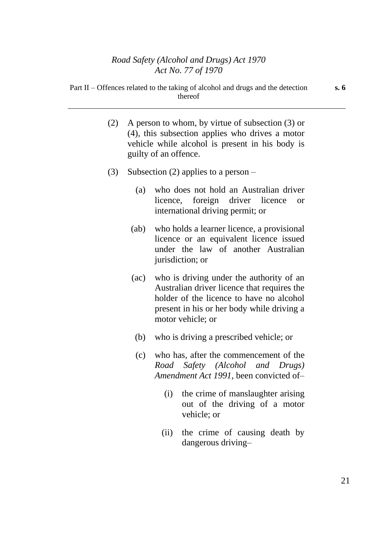- (2) A person to whom, by virtue of subsection (3) or (4), this subsection applies who drives a motor vehicle while alcohol is present in his body is guilty of an offence.
- (3) Subsection (2) applies to a person
	- (a) who does not hold an Australian driver licence, foreign driver licence or international driving permit; or
	- (ab) who holds a learner licence, a provisional licence or an equivalent licence issued under the law of another Australian jurisdiction; or
	- (ac) who is driving under the authority of an Australian driver licence that requires the holder of the licence to have no alcohol present in his or her body while driving a motor vehicle; or
		- (b) who is driving a prescribed vehicle; or
		- (c) who has, after the commencement of the *Road Safety (Alcohol and Drugs) Amendment Act 1991*, been convicted of–
			- (i) the crime of manslaughter arising out of the driving of a motor vehicle; or
			- (ii) the crime of causing death by dangerous driving–

**s. 6**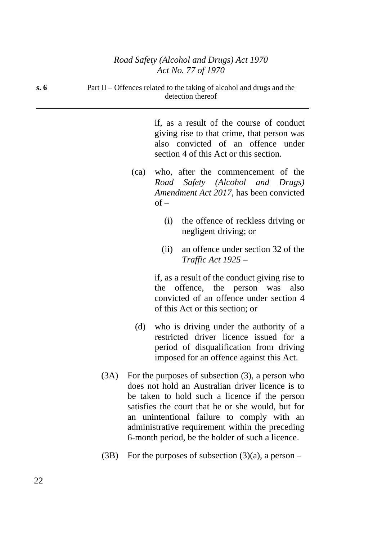| s.6 | Part II – Offences related to the taking of alcohol and drugs and the<br>detection thereof |      |                                                                                                                                                                                                                                                                                                                                                                    |
|-----|--------------------------------------------------------------------------------------------|------|--------------------------------------------------------------------------------------------------------------------------------------------------------------------------------------------------------------------------------------------------------------------------------------------------------------------------------------------------------------------|
|     |                                                                                            |      | if, as a result of the course of conduct<br>giving rise to that crime, that person was<br>also convicted of an offence under<br>section 4 of this Act or this section.                                                                                                                                                                                             |
|     |                                                                                            | (ca) | who, after the commencement of the<br>Road Safety (Alcohol and Drugs)<br><i>Amendment Act 2017</i> , has been convicted<br>$of -$                                                                                                                                                                                                                                  |
|     |                                                                                            |      | the offence of reckless driving or<br>(i)<br>negligent driving; or                                                                                                                                                                                                                                                                                                 |
|     |                                                                                            |      | an offence under section 32 of the<br>(ii)<br><i>Traffic Act 1925 –</i>                                                                                                                                                                                                                                                                                            |
|     |                                                                                            |      | if, as a result of the conduct giving rise to<br>offence, the person was<br>also<br>the<br>convicted of an offence under section 4<br>of this Act or this section; or                                                                                                                                                                                              |
|     |                                                                                            | (d)  | who is driving under the authority of a<br>restricted driver licence issued for a<br>period of disqualification from driving<br>imposed for an offence against this Act.                                                                                                                                                                                           |
|     | (3A)                                                                                       |      | For the purposes of subsection $(3)$ , a person who<br>does not hold an Australian driver licence is to<br>be taken to hold such a licence if the person<br>satisfies the court that he or she would, but for<br>an unintentional failure to comply with an<br>administrative requirement within the preceding<br>6-month period, be the holder of such a licence. |

(3B) For the purposes of subsection  $(3)(a)$ , a person –

22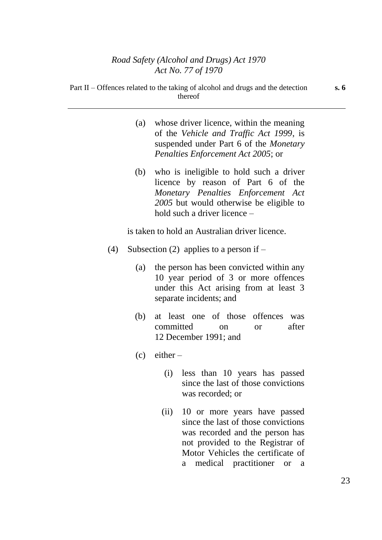| Part II – Offences related to the taking of alcohol and drugs and the detection<br>thereof |                                                                                                                                                                             |  |
|--------------------------------------------------------------------------------------------|-----------------------------------------------------------------------------------------------------------------------------------------------------------------------------|--|
| (a)                                                                                        | whose driver licence, within the meaning<br>of the <i>Vehicle and Traffic Act 1999</i> , is<br>suspended under Part 6 of the Monetary<br>Penalties Enforcement Act 2005; or |  |

(b) who is ineligible to hold such a driver licence by reason of Part 6 of the *Monetary Penalties Enforcement Act 2005* but would otherwise be eligible to hold such a driver licence –

is taken to hold an Australian driver licence.

- (4) Subsection (2) applies to a person if  $-$ 
	- (a) the person has been convicted within any 10 year period of 3 or more offences under this Act arising from at least 3 separate incidents; and
	- (b) at least one of those offences was committed on or after 12 December 1991; and
	- $(c)$  either
		- (i) less than 10 years has passed since the last of those convictions was recorded; or
		- (ii) 10 or more years have passed since the last of those convictions was recorded and the person has not provided to the Registrar of Motor Vehicles the certificate of a medical practitioner or a

**s. 6**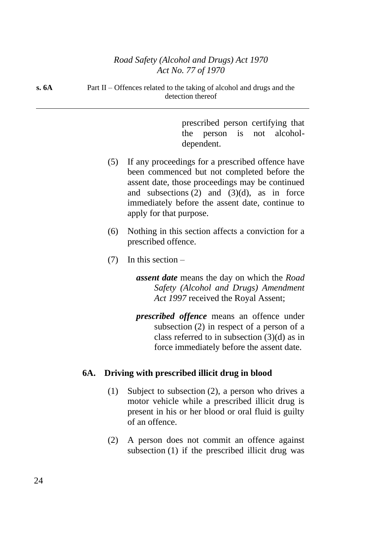**s. 6A** Part II – Offences related to the taking of alcohol and drugs and the detection thereof

> prescribed person certifying that the person is not alcoholdependent.

- (5) If any proceedings for a prescribed offence have been commenced but not completed before the assent date, those proceedings may be continued and subsections  $(2)$  and  $(3)(d)$ , as in force immediately before the assent date, continue to apply for that purpose.
- (6) Nothing in this section affects a conviction for a prescribed offence.
- $(7)$  In this section
	- *assent date* means the day on which the *Road Safety (Alcohol and Drugs) Amendment Act 1997* received the Royal Assent;
	- *prescribed offence* means an offence under subsection (2) in respect of a person of a class referred to in subsection (3)(d) as in force immediately before the assent date.

## **6A. Driving with prescribed illicit drug in blood**

- (1) Subject to subsection (2), a person who drives a motor vehicle while a prescribed illicit drug is present in his or her blood or oral fluid is guilty of an offence.
- (2) A person does not commit an offence against subsection (1) if the prescribed illicit drug was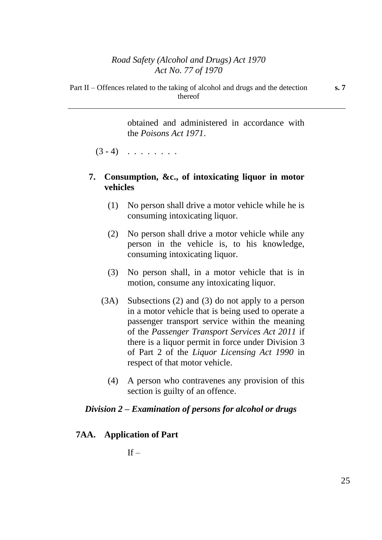Part II – Offences related to the taking of alcohol and drugs and the detection thereof

> obtained and administered in accordance with the *Poisons Act 1971*.

 $(3 - 4)$  . . . . . . .

## **7. Consumption, &c., of intoxicating liquor in motor vehicles**

- (1) No person shall drive a motor vehicle while he is consuming intoxicating liquor.
- (2) No person shall drive a motor vehicle while any person in the vehicle is, to his knowledge, consuming intoxicating liquor.
- (3) No person shall, in a motor vehicle that is in motion, consume any intoxicating liquor.
- (3A) Subsections (2) and (3) do not apply to a person in a motor vehicle that is being used to operate a passenger transport service within the meaning of the *Passenger Transport Services Act 2011* if there is a liquor permit in force under Division 3 of Part 2 of the *Liquor Licensing Act 1990* in respect of that motor vehicle.
	- (4) A person who contravenes any provision of this section is guilty of an offence.

## *Division 2 – Examination of persons for alcohol or drugs*

### **7AA. Application of Part**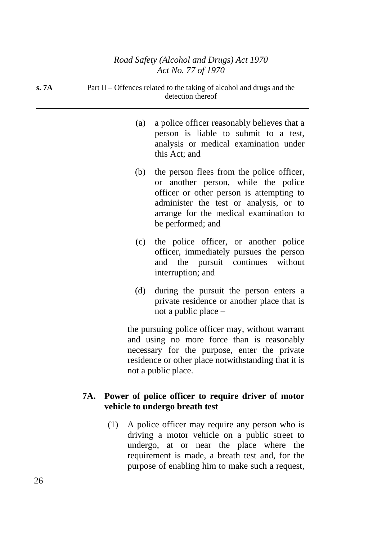| s.7A |     | Part II - Offences related to the taking of alcohol and drugs and the<br>detection thereof                                                                                                                                            |  |  |
|------|-----|---------------------------------------------------------------------------------------------------------------------------------------------------------------------------------------------------------------------------------------|--|--|
|      | (a) | a police officer reasonably believes that a<br>person is liable to submit to a test,<br>analysis or medical examination under<br>this Act; and                                                                                        |  |  |
|      | (b) | the person flees from the police officer,<br>or another person, while the police<br>officer or other person is attempting to<br>administer the test or analysis, or to<br>arrange for the medical examination to<br>be performed; and |  |  |
|      | (c) | the police officer, or another police<br>officer, immediately pursues the person<br>and the pursuit continues<br>without<br>interruption; and                                                                                         |  |  |
|      | (d) | during the pursuit the person enters a<br>private residence or another place that is<br>not a public place –                                                                                                                          |  |  |
|      |     | the pursuing police officer may, without warrant                                                                                                                                                                                      |  |  |

and using no more force than is reasonably necessary for the purpose, enter the private residence or other place notwithstanding that it is not a public place.

## **7A. Power of police officer to require driver of motor vehicle to undergo breath test**

(1) A police officer may require any person who is driving a motor vehicle on a public street to undergo, at or near the place where the requirement is made, a breath test and, for the purpose of enabling him to make such a request,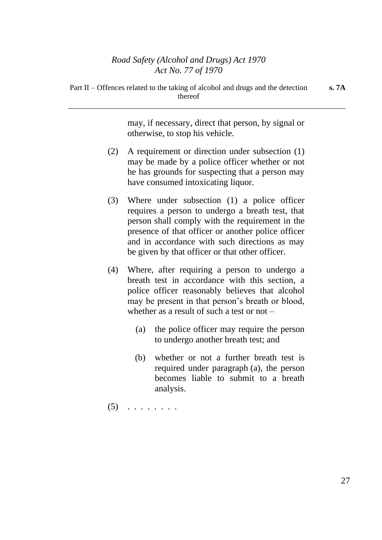thereof

may, if necessary, direct that person, by signal or otherwise, to stop his vehicle.

- (2) A requirement or direction under subsection (1) may be made by a police officer whether or not he has grounds for suspecting that a person may have consumed intoxicating liquor.
- (3) Where under subsection (1) a police officer requires a person to undergo a breath test, that person shall comply with the requirement in the presence of that officer or another police officer and in accordance with such directions as may be given by that officer or that other officer.
- (4) Where, after requiring a person to undergo a breath test in accordance with this section, a police officer reasonably believes that alcohol may be present in that person's breath or blood, whether as a result of such a test or not  $-$ 
	- (a) the police officer may require the person to undergo another breath test; and
	- (b) whether or not a further breath test is required under paragraph (a), the person becomes liable to submit to a breath analysis.
- $(5)$   $\ldots$  . . . . . .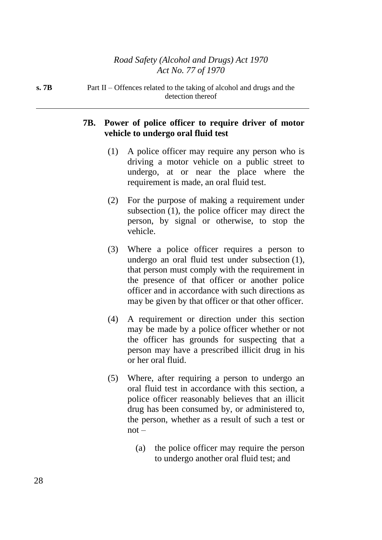**s. 7B** Part II – Offences related to the taking of alcohol and drugs and the detection thereof

## **7B. Power of police officer to require driver of motor vehicle to undergo oral fluid test**

- (1) A police officer may require any person who is driving a motor vehicle on a public street to undergo, at or near the place where the requirement is made, an oral fluid test.
- (2) For the purpose of making a requirement under subsection (1), the police officer may direct the person, by signal or otherwise, to stop the vehicle.
- (3) Where a police officer requires a person to undergo an oral fluid test under subsection (1), that person must comply with the requirement in the presence of that officer or another police officer and in accordance with such directions as may be given by that officer or that other officer.
- (4) A requirement or direction under this section may be made by a police officer whether or not the officer has grounds for suspecting that a person may have a prescribed illicit drug in his or her oral fluid.
- (5) Where, after requiring a person to undergo an oral fluid test in accordance with this section, a police officer reasonably believes that an illicit drug has been consumed by, or administered to, the person, whether as a result of such a test or  $not -$ 
	- (a) the police officer may require the person to undergo another oral fluid test; and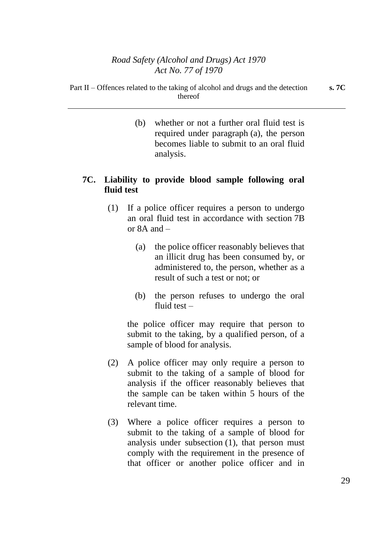(b) whether or not a further oral fluid test is required under paragraph (a), the person becomes liable to submit to an oral fluid analysis.

## **7C. Liability to provide blood sample following oral fluid test**

- (1) If a police officer requires a person to undergo an oral fluid test in accordance with section 7B or 8A and –
	- (a) the police officer reasonably believes that an illicit drug has been consumed by, or administered to, the person, whether as a result of such a test or not; or
	- (b) the person refuses to undergo the oral fluid test –

the police officer may require that person to submit to the taking, by a qualified person, of a sample of blood for analysis.

- (2) A police officer may only require a person to submit to the taking of a sample of blood for analysis if the officer reasonably believes that the sample can be taken within 5 hours of the relevant time.
- (3) Where a police officer requires a person to submit to the taking of a sample of blood for analysis under subsection (1), that person must comply with the requirement in the presence of that officer or another police officer and in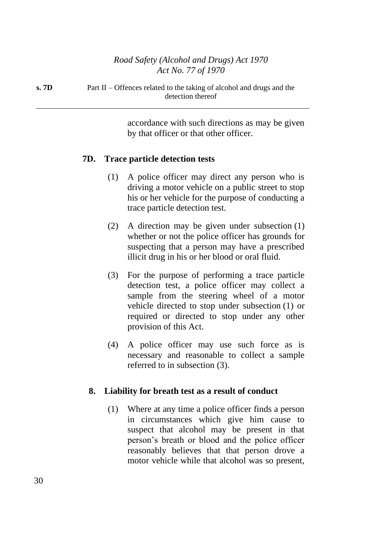accordance with such directions as may be given by that officer or that other officer.

## **7D. Trace particle detection tests**

- (1) A police officer may direct any person who is driving a motor vehicle on a public street to stop his or her vehicle for the purpose of conducting a trace particle detection test.
- (2) A direction may be given under subsection (1) whether or not the police officer has grounds for suspecting that a person may have a prescribed illicit drug in his or her blood or oral fluid.
- (3) For the purpose of performing a trace particle detection test, a police officer may collect a sample from the steering wheel of a motor vehicle directed to stop under subsection (1) or required or directed to stop under any other provision of this Act.
- (4) A police officer may use such force as is necessary and reasonable to collect a sample referred to in subsection (3).

## **8. Liability for breath test as a result of conduct**

(1) Where at any time a police officer finds a person in circumstances which give him cause to suspect that alcohol may be present in that person's breath or blood and the police officer reasonably believes that that person drove a motor vehicle while that alcohol was so present,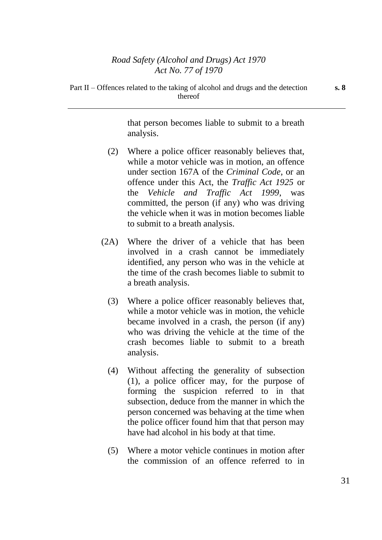Part II – Offences related to the taking of alcohol and drugs and the detection thereof

> that person becomes liable to submit to a breath analysis.

- (2) Where a police officer reasonably believes that, while a motor vehicle was in motion, an offence under section 167A of the *Criminal Code*, or an offence under this Act, the *Traffic Act 1925* or the *Vehicle and Traffic Act 1999*, was committed, the person (if any) who was driving the vehicle when it was in motion becomes liable to submit to a breath analysis.
- (2A) Where the driver of a vehicle that has been involved in a crash cannot be immediately identified, any person who was in the vehicle at the time of the crash becomes liable to submit to a breath analysis.
	- (3) Where a police officer reasonably believes that, while a motor vehicle was in motion, the vehicle became involved in a crash, the person (if any) who was driving the vehicle at the time of the crash becomes liable to submit to a breath analysis.
	- (4) Without affecting the generality of subsection (1), a police officer may, for the purpose of forming the suspicion referred to in that subsection, deduce from the manner in which the person concerned was behaving at the time when the police officer found him that that person may have had alcohol in his body at that time.
	- (5) Where a motor vehicle continues in motion after the commission of an offence referred to in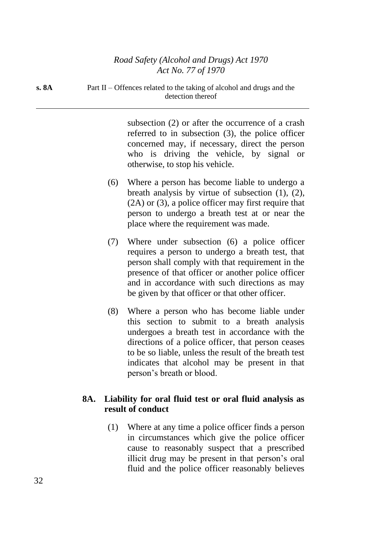**s. 8A** Part II – Offences related to the taking of alcohol and drugs and the detection thereof

> subsection (2) or after the occurrence of a crash referred to in subsection (3), the police officer concerned may, if necessary, direct the person who is driving the vehicle, by signal or otherwise, to stop his vehicle.

- (6) Where a person has become liable to undergo a breath analysis by virtue of subsection (1), (2), (2A) or (3), a police officer may first require that person to undergo a breath test at or near the place where the requirement was made.
- (7) Where under subsection (6) a police officer requires a person to undergo a breath test, that person shall comply with that requirement in the presence of that officer or another police officer and in accordance with such directions as may be given by that officer or that other officer.
- (8) Where a person who has become liable under this section to submit to a breath analysis undergoes a breath test in accordance with the directions of a police officer, that person ceases to be so liable, unless the result of the breath test indicates that alcohol may be present in that person's breath or blood.

## **8A. Liability for oral fluid test or oral fluid analysis as result of conduct**

(1) Where at any time a police officer finds a person in circumstances which give the police officer cause to reasonably suspect that a prescribed illicit drug may be present in that person's oral fluid and the police officer reasonably believes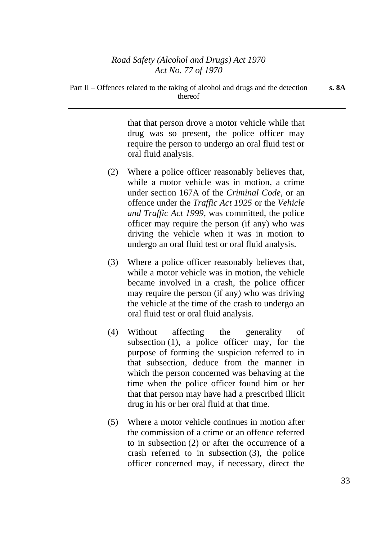Part II – Offences related to the taking of alcohol and drugs and the detection

thereof

that that person drove a motor vehicle while that drug was so present, the police officer may require the person to undergo an oral fluid test or oral fluid analysis.

- (2) Where a police officer reasonably believes that, while a motor vehicle was in motion, a crime under section 167A of the *Criminal Code*, or an offence under the *Traffic Act 1925* or the *Vehicle and Traffic Act 1999*, was committed, the police officer may require the person (if any) who was driving the vehicle when it was in motion to undergo an oral fluid test or oral fluid analysis.
- (3) Where a police officer reasonably believes that, while a motor vehicle was in motion, the vehicle became involved in a crash, the police officer may require the person (if any) who was driving the vehicle at the time of the crash to undergo an oral fluid test or oral fluid analysis.
- (4) Without affecting the generality of subsection (1), a police officer may, for the purpose of forming the suspicion referred to in that subsection, deduce from the manner in which the person concerned was behaving at the time when the police officer found him or her that that person may have had a prescribed illicit drug in his or her oral fluid at that time.
- (5) Where a motor vehicle continues in motion after the commission of a crime or an offence referred to in subsection (2) or after the occurrence of a crash referred to in subsection (3), the police officer concerned may, if necessary, direct the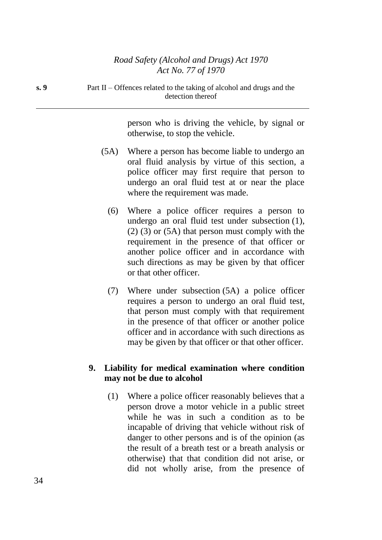| s. 9 | Part II – Offences related to the taking of alcohol and drugs and the |
|------|-----------------------------------------------------------------------|
|      | detection thereof                                                     |

person who is driving the vehicle, by signal or otherwise, to stop the vehicle.

- (5A) Where a person has become liable to undergo an oral fluid analysis by virtue of this section, a police officer may first require that person to undergo an oral fluid test at or near the place where the requirement was made.
	- (6) Where a police officer requires a person to undergo an oral fluid test under subsection (1), (2) (3) or (5A) that person must comply with the requirement in the presence of that officer or another police officer and in accordance with such directions as may be given by that officer or that other officer.
	- (7) Where under subsection (5A) a police officer requires a person to undergo an oral fluid test, that person must comply with that requirement in the presence of that officer or another police officer and in accordance with such directions as may be given by that officer or that other officer.

## **9. Liability for medical examination where condition may not be due to alcohol**

(1) Where a police officer reasonably believes that a person drove a motor vehicle in a public street while he was in such a condition as to be incapable of driving that vehicle without risk of danger to other persons and is of the opinion (as the result of a breath test or a breath analysis or otherwise) that that condition did not arise, or did not wholly arise, from the presence of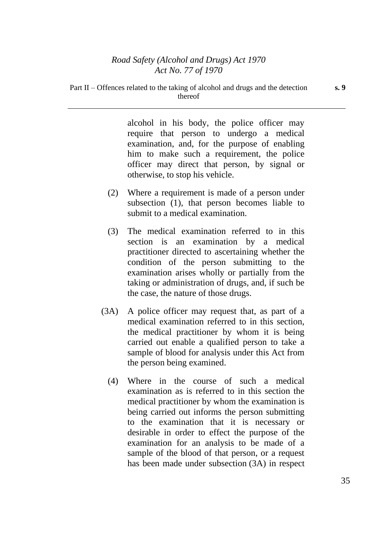alcohol in his body, the police officer may require that person to undergo a medical examination, and, for the purpose of enabling him to make such a requirement, the police officer may direct that person, by signal or otherwise, to stop his vehicle.

- (2) Where a requirement is made of a person under subsection (1), that person becomes liable to submit to a medical examination.
- (3) The medical examination referred to in this section is an examination by a medical practitioner directed to ascertaining whether the condition of the person submitting to the examination arises wholly or partially from the taking or administration of drugs, and, if such be the case, the nature of those drugs.
- (3A) A police officer may request that, as part of a medical examination referred to in this section, the medical practitioner by whom it is being carried out enable a qualified person to take a sample of blood for analysis under this Act from the person being examined.
	- (4) Where in the course of such a medical examination as is referred to in this section the medical practitioner by whom the examination is being carried out informs the person submitting to the examination that it is necessary or desirable in order to effect the purpose of the examination for an analysis to be made of a sample of the blood of that person, or a request has been made under subsection (3A) in respect

**s. 9**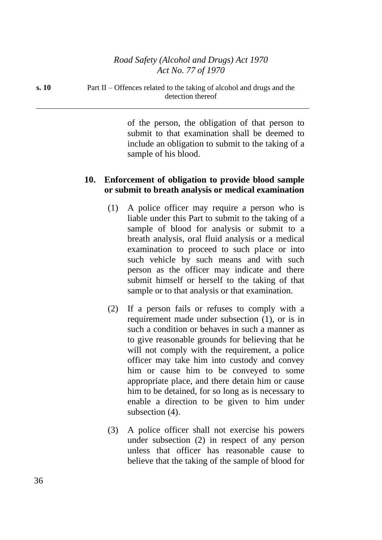**s. 10** Part II – Offences related to the taking of alcohol and drugs and the detection thereof

> of the person, the obligation of that person to submit to that examination shall be deemed to include an obligation to submit to the taking of a sample of his blood.

## **10. Enforcement of obligation to provide blood sample or submit to breath analysis or medical examination**

- (1) A police officer may require a person who is liable under this Part to submit to the taking of a sample of blood for analysis or submit to a breath analysis, oral fluid analysis or a medical examination to proceed to such place or into such vehicle by such means and with such person as the officer may indicate and there submit himself or herself to the taking of that sample or to that analysis or that examination.
- (2) If a person fails or refuses to comply with a requirement made under subsection (1), or is in such a condition or behaves in such a manner as to give reasonable grounds for believing that he will not comply with the requirement, a police officer may take him into custody and convey him or cause him to be conveyed to some appropriate place, and there detain him or cause him to be detained, for so long as is necessary to enable a direction to be given to him under subsection  $(4)$ .
- (3) A police officer shall not exercise his powers under subsection (2) in respect of any person unless that officer has reasonable cause to believe that the taking of the sample of blood for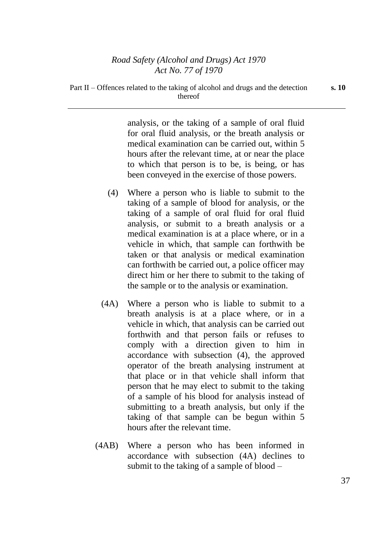analysis, or the taking of a sample of oral fluid for oral fluid analysis, or the breath analysis or medical examination can be carried out, within 5 hours after the relevant time, at or near the place to which that person is to be, is being, or has been conveyed in the exercise of those powers.

- (4) Where a person who is liable to submit to the taking of a sample of blood for analysis, or the taking of a sample of oral fluid for oral fluid analysis, or submit to a breath analysis or a medical examination is at a place where, or in a vehicle in which, that sample can forthwith be taken or that analysis or medical examination can forthwith be carried out, a police officer may direct him or her there to submit to the taking of the sample or to the analysis or examination.
- (4A) Where a person who is liable to submit to a breath analysis is at a place where, or in a vehicle in which, that analysis can be carried out forthwith and that person fails or refuses to comply with a direction given to him in accordance with subsection (4), the approved operator of the breath analysing instrument at that place or in that vehicle shall inform that person that he may elect to submit to the taking of a sample of his blood for analysis instead of submitting to a breath analysis, but only if the taking of that sample can be begun within 5 hours after the relevant time.
- (4AB) Where a person who has been informed in accordance with subsection (4A) declines to submit to the taking of a sample of blood –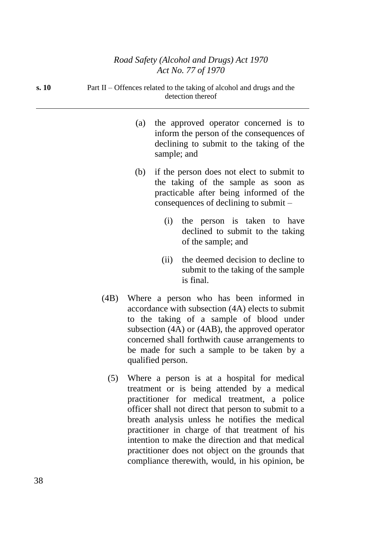| s. 10 | Part II – Offences related to the taking of alcohol and drugs and the<br>detection thereof |             |                                                                                                                                                                        |  |
|-------|--------------------------------------------------------------------------------------------|-------------|------------------------------------------------------------------------------------------------------------------------------------------------------------------------|--|
|       | (a)                                                                                        | sample; and | the approved operator concerned is to<br>inform the person of the consequences of<br>declining to submit to the taking of the                                          |  |
|       | (b)                                                                                        |             | if the person does not elect to submit to<br>the taking of the sample as soon as<br>practicable after being informed of the<br>consequences of declining to submit $-$ |  |
|       |                                                                                            | (i)         | the person is taken to have<br>declined to submit to the taking<br>of the sample; and                                                                                  |  |
|       |                                                                                            | (11)        | the deemed decision to decline to<br>submit to the taking of the sample                                                                                                |  |

(4B) Where a person who has been informed in accordance with subsection (4A) elects to submit to the taking of a sample of blood under subsection (4A) or (4AB), the approved operator concerned shall forthwith cause arrangements to be made for such a sample to be taken by a qualified person.

is final.

(5) Where a person is at a hospital for medical treatment or is being attended by a medical practitioner for medical treatment, a police officer shall not direct that person to submit to a breath analysis unless he notifies the medical practitioner in charge of that treatment of his intention to make the direction and that medical practitioner does not object on the grounds that compliance therewith, would, in his opinion, be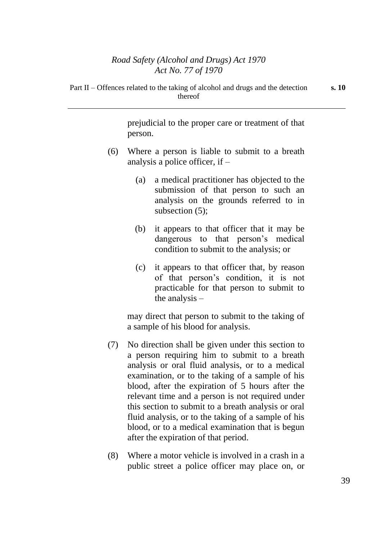prejudicial to the proper care or treatment of that person.

- (6) Where a person is liable to submit to a breath analysis a police officer, if –
	- (a) a medical practitioner has objected to the submission of that person to such an analysis on the grounds referred to in subsection (5);
	- (b) it appears to that officer that it may be dangerous to that person's medical condition to submit to the analysis; or
	- (c) it appears to that officer that, by reason of that person's condition, it is not practicable for that person to submit to the analysis –

may direct that person to submit to the taking of a sample of his blood for analysis.

- (7) No direction shall be given under this section to a person requiring him to submit to a breath analysis or oral fluid analysis, or to a medical examination, or to the taking of a sample of his blood, after the expiration of 5 hours after the relevant time and a person is not required under this section to submit to a breath analysis or oral fluid analysis, or to the taking of a sample of his blood, or to a medical examination that is begun after the expiration of that period.
- (8) Where a motor vehicle is involved in a crash in a public street a police officer may place on, or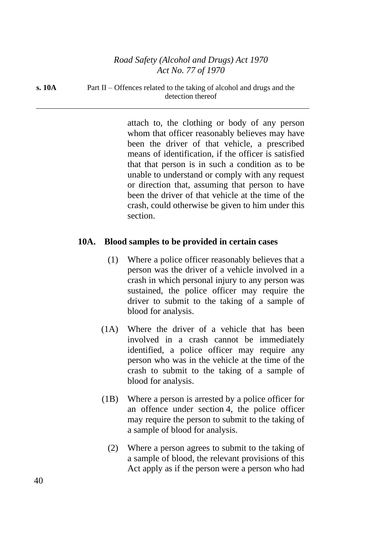**s. 10A** Part II – Offences related to the taking of alcohol and drugs and the detection thereof

> attach to, the clothing or body of any person whom that officer reasonably believes may have been the driver of that vehicle, a prescribed means of identification, if the officer is satisfied that that person is in such a condition as to be unable to understand or comply with any request or direction that, assuming that person to have been the driver of that vehicle at the time of the crash, could otherwise be given to him under this section.

## **10A. Blood samples to be provided in certain cases**

- (1) Where a police officer reasonably believes that a person was the driver of a vehicle involved in a crash in which personal injury to any person was sustained, the police officer may require the driver to submit to the taking of a sample of blood for analysis.
- (1A) Where the driver of a vehicle that has been involved in a crash cannot be immediately identified, a police officer may require any person who was in the vehicle at the time of the crash to submit to the taking of a sample of blood for analysis.
- (1B) Where a person is arrested by a police officer for an offence under section 4, the police officer may require the person to submit to the taking of a sample of blood for analysis.
	- (2) Where a person agrees to submit to the taking of a sample of blood, the relevant provisions of this Act apply as if the person were a person who had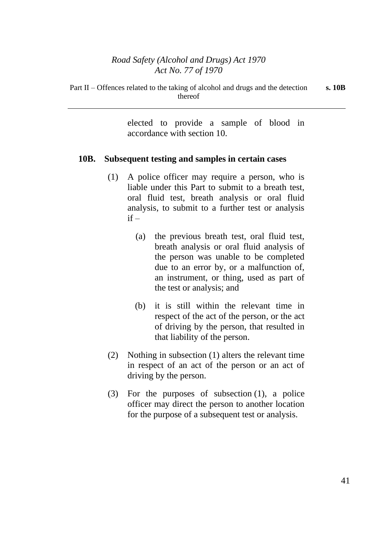elected to provide a sample of blood in accordance with section 10.

#### **10B. Subsequent testing and samples in certain cases**

- (1) A police officer may require a person, who is liable under this Part to submit to a breath test, oral fluid test, breath analysis or oral fluid analysis, to submit to a further test or analysis  $if -$ 
	- (a) the previous breath test, oral fluid test, breath analysis or oral fluid analysis of the person was unable to be completed due to an error by, or a malfunction of, an instrument, or thing, used as part of the test or analysis; and
	- (b) it is still within the relevant time in respect of the act of the person, or the act of driving by the person, that resulted in that liability of the person.
- (2) Nothing in subsection (1) alters the relevant time in respect of an act of the person or an act of driving by the person.
- (3) For the purposes of subsection (1), a police officer may direct the person to another location for the purpose of a subsequent test or analysis.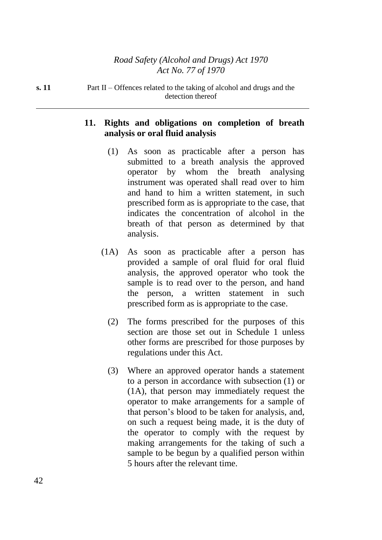**s. 11** Part II – Offences related to the taking of alcohol and drugs and the detection thereof

### **11. Rights and obligations on completion of breath analysis or oral fluid analysis**

- (1) As soon as practicable after a person has submitted to a breath analysis the approved operator by whom the breath analysing instrument was operated shall read over to him and hand to him a written statement, in such prescribed form as is appropriate to the case, that indicates the concentration of alcohol in the breath of that person as determined by that analysis.
- (1A) As soon as practicable after a person has provided a sample of oral fluid for oral fluid analysis, the approved operator who took the sample is to read over to the person, and hand the person, a written statement in such prescribed form as is appropriate to the case.
	- (2) The forms prescribed for the purposes of this section are those set out in Schedule 1 unless other forms are prescribed for those purposes by regulations under this Act.
	- (3) Where an approved operator hands a statement to a person in accordance with subsection (1) or (1A), that person may immediately request the operator to make arrangements for a sample of that person's blood to be taken for analysis, and, on such a request being made, it is the duty of the operator to comply with the request by making arrangements for the taking of such a sample to be begun by a qualified person within 5 hours after the relevant time.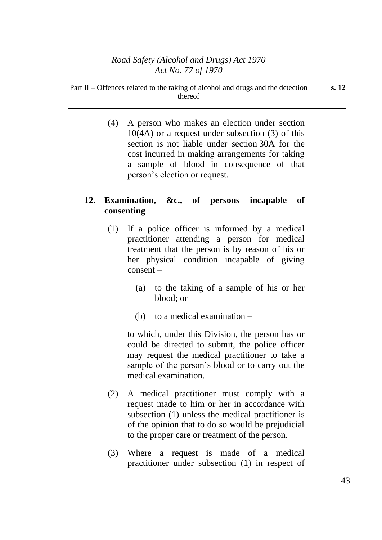(4) A person who makes an election under section  $10(4A)$  or a request under subsection (3) of this section is not liable under section 30A for the cost incurred in making arrangements for taking a sample of blood in consequence of that person's election or request.

# **12. Examination, &c., of persons incapable of consenting**

- (1) If a police officer is informed by a medical practitioner attending a person for medical treatment that the person is by reason of his or her physical condition incapable of giving consent –
	- (a) to the taking of a sample of his or her blood; or
	- (b) to a medical examination –

to which, under this Division, the person has or could be directed to submit, the police officer may request the medical practitioner to take a sample of the person's blood or to carry out the medical examination.

- (2) A medical practitioner must comply with a request made to him or her in accordance with subsection (1) unless the medical practitioner is of the opinion that to do so would be prejudicial to the proper care or treatment of the person.
- (3) Where a request is made of a medical practitioner under subsection (1) in respect of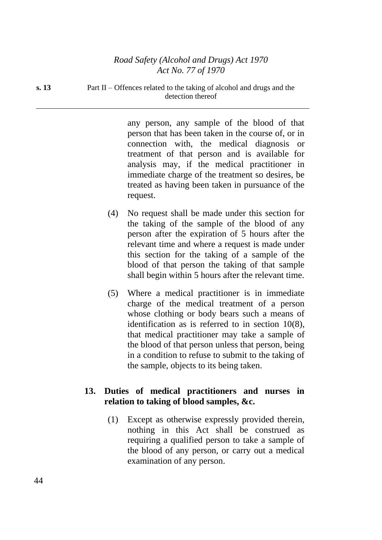**s. 13** Part II – Offences related to the taking of alcohol and drugs and the detection thereof

> any person, any sample of the blood of that person that has been taken in the course of, or in connection with, the medical diagnosis or treatment of that person and is available for analysis may, if the medical practitioner in immediate charge of the treatment so desires, be treated as having been taken in pursuance of the request.

- (4) No request shall be made under this section for the taking of the sample of the blood of any person after the expiration of 5 hours after the relevant time and where a request is made under this section for the taking of a sample of the blood of that person the taking of that sample shall begin within 5 hours after the relevant time.
- (5) Where a medical practitioner is in immediate charge of the medical treatment of a person whose clothing or body bears such a means of identification as is referred to in section 10(8), that medical practitioner may take a sample of the blood of that person unless that person, being in a condition to refuse to submit to the taking of the sample, objects to its being taken.

## **13. Duties of medical practitioners and nurses in relation to taking of blood samples, &c.**

(1) Except as otherwise expressly provided therein, nothing in this Act shall be construed as requiring a qualified person to take a sample of the blood of any person, or carry out a medical examination of any person.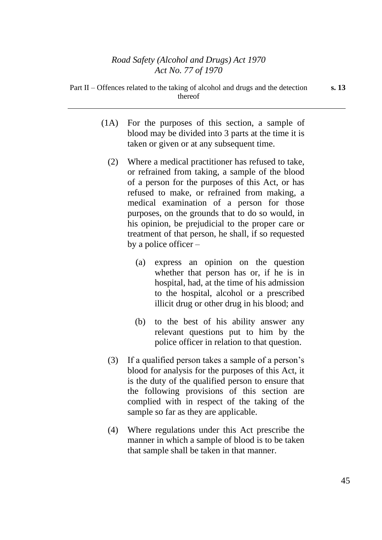- (1A) For the purposes of this section, a sample of blood may be divided into 3 parts at the time it is taken or given or at any subsequent time.
	- (2) Where a medical practitioner has refused to take, or refrained from taking, a sample of the blood of a person for the purposes of this Act, or has refused to make, or refrained from making, a medical examination of a person for those purposes, on the grounds that to do so would, in his opinion, be prejudicial to the proper care or treatment of that person, he shall, if so requested by a police officer –
		- (a) express an opinion on the question whether that person has or, if he is in hospital, had, at the time of his admission to the hospital, alcohol or a prescribed illicit drug or other drug in his blood; and
		- (b) to the best of his ability answer any relevant questions put to him by the police officer in relation to that question.
	- (3) If a qualified person takes a sample of a person's blood for analysis for the purposes of this Act, it is the duty of the qualified person to ensure that the following provisions of this section are complied with in respect of the taking of the sample so far as they are applicable.
	- (4) Where regulations under this Act prescribe the manner in which a sample of blood is to be taken that sample shall be taken in that manner.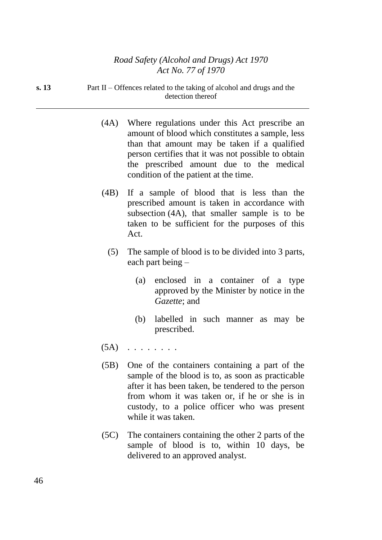**s. 13** Part II – Offences related to the taking of alcohol and drugs and the detection thereof

- (4A) Where regulations under this Act prescribe an amount of blood which constitutes a sample, less than that amount may be taken if a qualified person certifies that it was not possible to obtain the prescribed amount due to the medical condition of the patient at the time.
- (4B) If a sample of blood that is less than the prescribed amount is taken in accordance with subsection (4A), that smaller sample is to be taken to be sufficient for the purposes of this Act.
	- (5) The sample of blood is to be divided into 3 parts, each part being –
		- (a) enclosed in a container of a type approved by the Minister by notice in the *Gazette*; and
		- (b) labelled in such manner as may be prescribed.
- $(5A)$  . . . . . . .
- (5B) One of the containers containing a part of the sample of the blood is to, as soon as practicable after it has been taken, be tendered to the person from whom it was taken or, if he or she is in custody, to a police officer who was present while it was taken.
- (5C) The containers containing the other 2 parts of the sample of blood is to, within 10 days, be delivered to an approved analyst.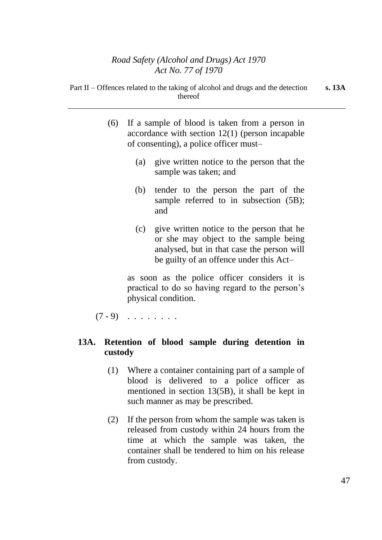- (6) If a sample of blood is taken from a person in accordance with section 12(1) (person incapable of consenting), a police officer must–
	- (a) give written notice to the person that the sample was taken; and
	- (b) tender to the person the part of the sample referred to in subsection  $(5B)$ ; and
	- (c) give written notice to the person that he or she may object to the sample being analysed, but in that case the person will be guilty of an offence under this Act–

as soon as the police officer considers it is practical to do so having regard to the person's physical condition.

 $(7 - 9)$  . . . . . . .

# **13A. Retention of blood sample during detention in custody**

- (1) Where a container containing part of a sample of blood is delivered to a police officer as mentioned in section 13(5B), it shall be kept in such manner as may be prescribed.
- (2) If the person from whom the sample was taken is released from custody within 24 hours from the time at which the sample was taken, the container shall be tendered to him on his release from custody.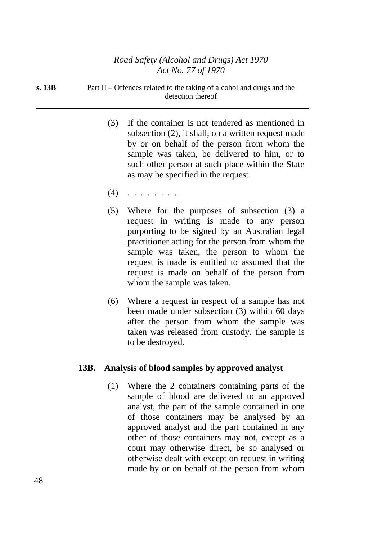| s. 13B | Part II – Offences related to the taking of alcohol and drugs and the |
|--------|-----------------------------------------------------------------------|
|        | detection thereof                                                     |

- (3) If the container is not tendered as mentioned in subsection (2), it shall, on a written request made by or on behalf of the person from whom the sample was taken, be delivered to him, or to such other person at such place within the State as may be specified in the request.
- (4) . . . . . . . .
- (5) Where for the purposes of subsection (3) a request in writing is made to any person purporting to be signed by an Australian legal practitioner acting for the person from whom the sample was taken, the person to whom the request is made is entitled to assumed that the request is made on behalf of the person from whom the sample was taken.
- (6) Where a request in respect of a sample has not been made under subsection (3) within 60 days after the person from whom the sample was taken was released from custody, the sample is to be destroyed.

#### **13B. Analysis of blood samples by approved analyst**

(1) Where the 2 containers containing parts of the sample of blood are delivered to an approved analyst, the part of the sample contained in one of those containers may be analysed by an approved analyst and the part contained in any other of those containers may not, except as a court may otherwise direct, be so analysed or otherwise dealt with except on request in writing made by or on behalf of the person from whom

48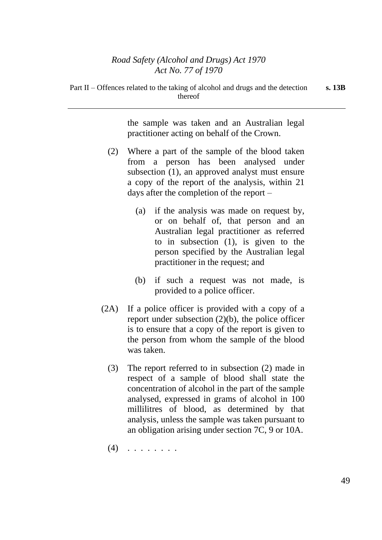the sample was taken and an Australian legal practitioner acting on behalf of the Crown.

- (2) Where a part of the sample of the blood taken from a person has been analysed under subsection (1), an approved analyst must ensure a copy of the report of the analysis, within 21 days after the completion of the report –
	- (a) if the analysis was made on request by, or on behalf of, that person and an Australian legal practitioner as referred to in subsection (1), is given to the person specified by the Australian legal practitioner in the request; and
	- (b) if such a request was not made, is provided to a police officer.
- (2A) If a police officer is provided with a copy of a report under subsection (2)(b), the police officer is to ensure that a copy of the report is given to the person from whom the sample of the blood was taken.
	- (3) The report referred to in subsection (2) made in respect of a sample of blood shall state the concentration of alcohol in the part of the sample analysed, expressed in grams of alcohol in 100 millilitres of blood, as determined by that analysis, unless the sample was taken pursuant to an obligation arising under section 7C, 9 or 10A.
	- $(4)$  . . . . . . .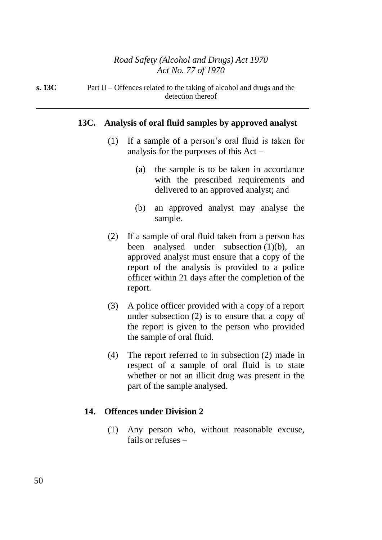**s. 13C** Part II – Offences related to the taking of alcohol and drugs and the detection thereof

#### **13C. Analysis of oral fluid samples by approved analyst**

- (1) If a sample of a person's oral fluid is taken for analysis for the purposes of this Act –
	- (a) the sample is to be taken in accordance with the prescribed requirements and delivered to an approved analyst; and
	- (b) an approved analyst may analyse the sample.
- (2) If a sample of oral fluid taken from a person has been analysed under subsection (1)(b), an approved analyst must ensure that a copy of the report of the analysis is provided to a police officer within 21 days after the completion of the report.
- (3) A police officer provided with a copy of a report under subsection (2) is to ensure that a copy of the report is given to the person who provided the sample of oral fluid.
- (4) The report referred to in subsection (2) made in respect of a sample of oral fluid is to state whether or not an illicit drug was present in the part of the sample analysed.

#### **14. Offences under Division 2**

(1) Any person who, without reasonable excuse, fails or refuses –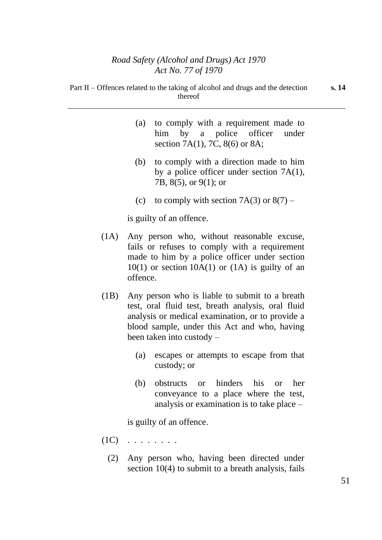| Part II – Offences related to the taking of alcohol and drugs and the detection | thereof |  |                                                                           |  |
|---------------------------------------------------------------------------------|---------|--|---------------------------------------------------------------------------|--|
|                                                                                 |         |  | (a) to comply with a requirement made to<br>him by a police officer under |  |

section 7A(1), 7C, 8(6) or 8A;

- (b) to comply with a direction made to him by a police officer under section 7A(1), 7B, 8(5), or 9(1); or
- (c) to comply with section  $7A(3)$  or  $8(7)$  –

is guilty of an offence.

- (1A) Any person who, without reasonable excuse, fails or refuses to comply with a requirement made to him by a police officer under section  $10(1)$  or section  $10A(1)$  or  $(1A)$  is guilty of an offence.
- (1B) Any person who is liable to submit to a breath test, oral fluid test, breath analysis, oral fluid analysis or medical examination, or to provide a blood sample, under this Act and who, having been taken into custody –
	- (a) escapes or attempts to escape from that custody; or
	- (b) obstructs or hinders his or her conveyance to a place where the test, analysis or examination is to take place –

is guilty of an offence.

- $(1C)$   $\ldots$  . . . . . .
	- (2) Any person who, having been directed under section 10(4) to submit to a breath analysis, fails

**s. 14**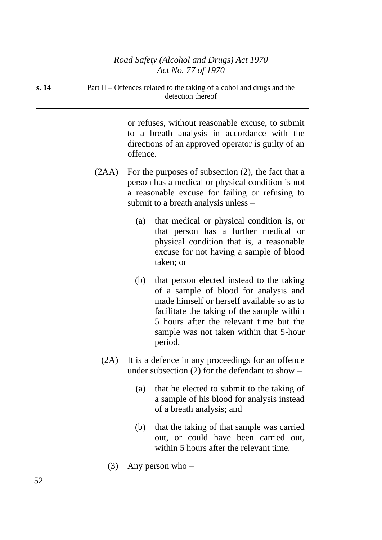**s. 14** Part II – Offences related to the taking of alcohol and drugs and the detection thereof

> or refuses, without reasonable excuse, to submit to a breath analysis in accordance with the directions of an approved operator is guilty of an offence.

- (2AA) For the purposes of subsection (2), the fact that a person has a medical or physical condition is not a reasonable excuse for failing or refusing to submit to a breath analysis unless –
	- (a) that medical or physical condition is, or that person has a further medical or physical condition that is, a reasonable excuse for not having a sample of blood taken; or
	- (b) that person elected instead to the taking of a sample of blood for analysis and made himself or herself available so as to facilitate the taking of the sample within 5 hours after the relevant time but the sample was not taken within that 5-hour period.
	- (2A) It is a defence in any proceedings for an offence under subsection  $(2)$  for the defendant to show –
		- (a) that he elected to submit to the taking of a sample of his blood for analysis instead of a breath analysis; and
		- (b) that the taking of that sample was carried out, or could have been carried out, within 5 hours after the relevant time.
		- (3) Any person who –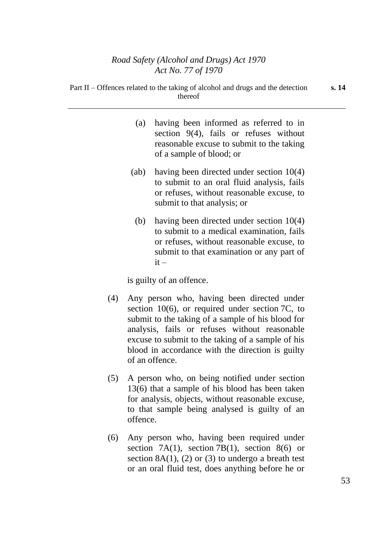|     | (a)                                                                                                                                                   | having been informed as referred to in<br>section $9(4)$ , fails or refuses without<br>reasonable excuse to submit to the taking<br>of a sample of blood; or                                |  |
|-----|-------------------------------------------------------------------------------------------------------------------------------------------------------|---------------------------------------------------------------------------------------------------------------------------------------------------------------------------------------------|--|
|     | (ab)                                                                                                                                                  | having been directed under section $10(4)$<br>to submit to an oral fluid analysis, fails<br>or refuses, without reasonable excuse, to<br>submit to that analysis; or                        |  |
|     | (b)                                                                                                                                                   | having been directed under section $10(4)$<br>to submit to a medical examination, fails<br>or refuses, without reasonable excuse, to<br>submit to that examination or any part of<br>$it -$ |  |
|     |                                                                                                                                                       | is guilty of an offence.                                                                                                                                                                    |  |
| (4) | Any person who, having been directed under<br>section $10(6)$ , or required under section 7C, to<br>submit to the taking of a sample of his blood for |                                                                                                                                                                                             |  |

analysis, fails or refuses without reasonable excuse to submit to the taking of a sample of his blood in accordance with the direction is guilty of an offence.

- (5) A person who, on being notified under section 13(6) that a sample of his blood has been taken for analysis, objects, without reasonable excuse, to that sample being analysed is guilty of an offence.
- (6) Any person who, having been required under section 7A(1), section 7B(1), section 8(6) or section  $8A(1)$ ,  $(2)$  or  $(3)$  to undergo a breath test or an oral fluid test, does anything before he or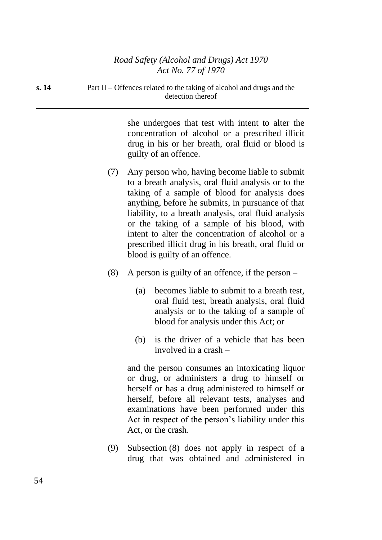**s. 14** Part II – Offences related to the taking of alcohol and drugs and the detection thereof

> she undergoes that test with intent to alter the concentration of alcohol or a prescribed illicit drug in his or her breath, oral fluid or blood is guilty of an offence.

- (7) Any person who, having become liable to submit to a breath analysis, oral fluid analysis or to the taking of a sample of blood for analysis does anything, before he submits, in pursuance of that liability, to a breath analysis, oral fluid analysis or the taking of a sample of his blood, with intent to alter the concentration of alcohol or a prescribed illicit drug in his breath, oral fluid or blood is guilty of an offence.
- (8) A person is guilty of an offence, if the person
	- (a) becomes liable to submit to a breath test, oral fluid test, breath analysis, oral fluid analysis or to the taking of a sample of blood for analysis under this Act; or
	- (b) is the driver of a vehicle that has been involved in a crash –

and the person consumes an intoxicating liquor or drug, or administers a drug to himself or herself or has a drug administered to himself or herself, before all relevant tests, analyses and examinations have been performed under this Act in respect of the person's liability under this Act, or the crash.

(9) Subsection (8) does not apply in respect of a drug that was obtained and administered in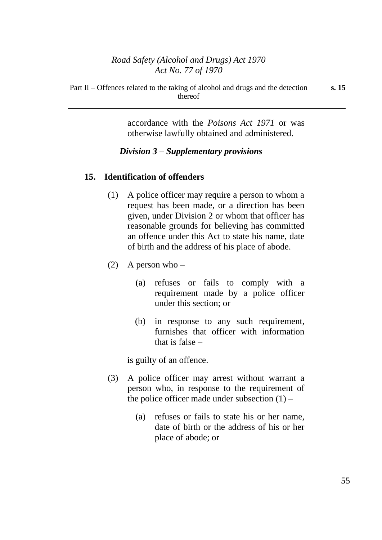Part II – Offences related to the taking of alcohol and drugs and the detection thereof

accordance with the *Poisons Act 1971* or was otherwise lawfully obtained and administered.

## *Division 3 – Supplementary provisions*

#### **15. Identification of offenders**

- (1) A police officer may require a person to whom a request has been made, or a direction has been given, under Division 2 or whom that officer has reasonable grounds for believing has committed an offence under this Act to state his name, date of birth and the address of his place of abode.
- (2) A person who
	- (a) refuses or fails to comply with a requirement made by a police officer under this section; or
	- (b) in response to any such requirement, furnishes that officer with information that is false –

is guilty of an offence.

- (3) A police officer may arrest without warrant a person who, in response to the requirement of the police officer made under subsection  $(1)$  –
	- (a) refuses or fails to state his or her name, date of birth or the address of his or her place of abode; or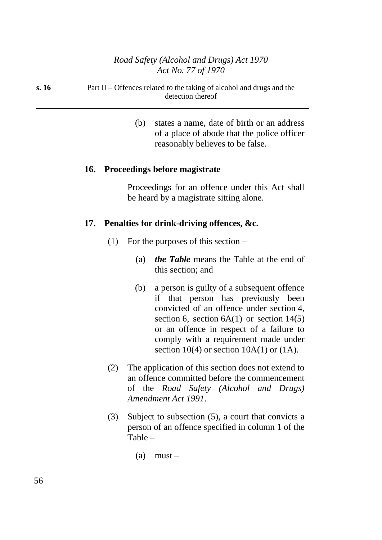#### **s. 16** Part II – Offences related to the taking of alcohol and drugs and the detection thereof

(b) states a name, date of birth or an address of a place of abode that the police officer reasonably believes to be false.

#### **16. Proceedings before magistrate**

Proceedings for an offence under this Act shall be heard by a magistrate sitting alone.

## **17. Penalties for drink-driving offences, &c.**

- (1) For the purposes of this section  $-$ 
	- (a) *the Table* means the Table at the end of this section; and
	- (b) a person is guilty of a subsequent offence if that person has previously been convicted of an offence under section 4, section 6, section  $6A(1)$  or section  $14(5)$ or an offence in respect of a failure to comply with a requirement made under section 10(4) or section 10A(1) or  $(1A)$ .
- (2) The application of this section does not extend to an offence committed before the commencement of the *Road Safety (Alcohol and Drugs) Amendment Act 1991*.
- (3) Subject to subsection (5), a court that convicts a person of an offence specified in column 1 of the Table –
	- $(a)$  must –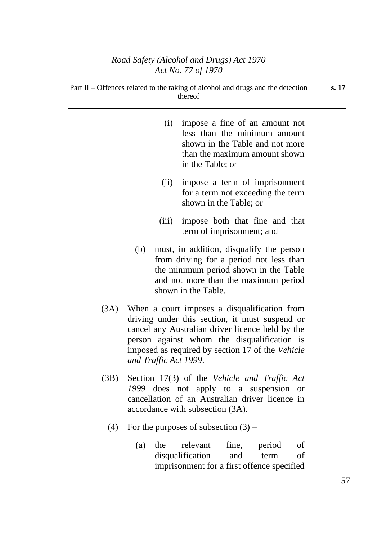|     | (i)   | impose a fine of an amount not<br>less than the minimum amount<br>shown in the Table and not more<br>than the maximum amount shown<br>in the Table; or |
|-----|-------|--------------------------------------------------------------------------------------------------------------------------------------------------------|
|     | (ii)  | impose a term of imprisonment<br>for a term not exceeding the term<br>shown in the Table; or                                                           |
|     | (iii) | impose both that fine and that<br>term of imprisonment; and                                                                                            |
| (b) |       | must, in addition, disqualify the person<br>from driving for a period not less than                                                                    |

- from driving for a period not less than the minimum period shown in the Table and not more than the maximum period shown in the Table.
- (3A) When a court imposes a disqualification from driving under this section, it must suspend or cancel any Australian driver licence held by the person against whom the disqualification is imposed as required by section 17 of the *Vehicle and Traffic Act 1999*.
- (3B) Section 17(3) of the *Vehicle and Traffic Act 1999* does not apply to a suspension or cancellation of an Australian driver licence in accordance with subsection (3A).
	- (4) For the purposes of subsection  $(3)$ 
		- (a) the relevant fine, period of disqualification and term of imprisonment for a first offence specified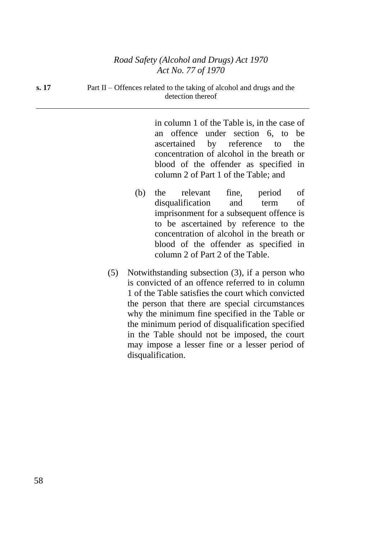**s. 17** Part II – Offences related to the taking of alcohol and drugs and the detection thereof

> in column 1 of the Table is, in the case of an offence under section 6, to be ascertained by reference to the concentration of alcohol in the breath or blood of the offender as specified in column 2 of Part 1 of the Table; and

- (b) the relevant fine, period of disqualification and term of imprisonment for a subsequent offence is to be ascertained by reference to the concentration of alcohol in the breath or blood of the offender as specified in column 2 of Part 2 of the Table.
- (5) Notwithstanding subsection (3), if a person who is convicted of an offence referred to in column 1 of the Table satisfies the court which convicted the person that there are special circumstances why the minimum fine specified in the Table or the minimum period of disqualification specified in the Table should not be imposed, the court may impose a lesser fine or a lesser period of disqualification.

58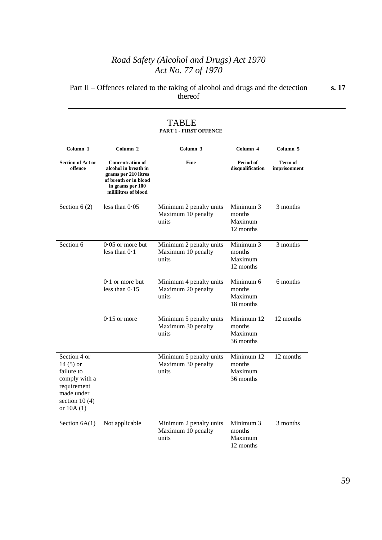Part II – Offences related to the taking of alcohol and drugs and the detection thereof **s. 17**

| Column 1                                                                                                                  | Column <sub>2</sub>                                                                                                                          | Column <sub>3</sub>                                    | Column <sub>4</sub>                          | Column <sub>5</sub>            |
|---------------------------------------------------------------------------------------------------------------------------|----------------------------------------------------------------------------------------------------------------------------------------------|--------------------------------------------------------|----------------------------------------------|--------------------------------|
| <b>Section of Act or</b><br>offence                                                                                       | <b>Concentration of</b><br>alcohol in breath in<br>grams per 210 litres<br>of breath or in blood<br>in grams per 100<br>millilitres of blood | <b>Fine</b>                                            | Period of<br>disqualification                | <b>Term of</b><br>imprisonment |
| Section $6(2)$                                                                                                            | less than $0.05$                                                                                                                             | Minimum 2 penalty units<br>Maximum 10 penalty<br>units | Minimum 3<br>months<br>Maximum<br>12 months  | 3 months                       |
| Section 6                                                                                                                 | $0.05$ or more but<br>less than $0.1$                                                                                                        | Minimum 2 penalty units<br>Maximum 10 penalty<br>units | Minimum 3<br>months<br>Maximum<br>12 months  | 3 months                       |
|                                                                                                                           | $0.1$ or more but<br>less than $0.15$                                                                                                        | Minimum 4 penalty units<br>Maximum 20 penalty<br>units | Minimum 6<br>months<br>Maximum<br>18 months  | 6 months                       |
|                                                                                                                           | $0.15$ or more                                                                                                                               | Minimum 5 penalty units<br>Maximum 30 penalty<br>units | Minimum 12<br>months<br>Maximum<br>36 months | 12 months                      |
| Section 4 or<br>14 $(5)$ or<br>failure to<br>comply with a<br>requirement<br>made under<br>section $10(4)$<br>or $10A(1)$ |                                                                                                                                              | Minimum 5 penalty units<br>Maximum 30 penalty<br>units | Minimum 12<br>months<br>Maximum<br>36 months | 12 months                      |
| Section $6A(1)$                                                                                                           | Not applicable                                                                                                                               | Minimum 2 penalty units<br>Maximum 10 penalty<br>units | Minimum 3<br>months<br>Maximum<br>12 months  | 3 months                       |

#### TABLE **PART 1 - FIRST OFFENCE**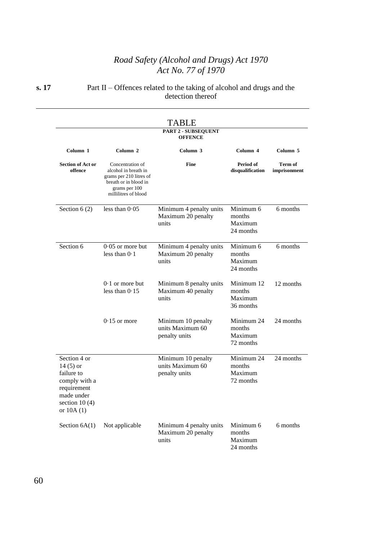**s. 17** Part II – Offences related to the taking of alcohol and drugs and the detection thereof

|                                                                                                                           |                                                                                                                                       | <b>PART 2 - SUBSEQUENT</b><br><b>OFFENCE</b>            |                                              |                         |
|---------------------------------------------------------------------------------------------------------------------------|---------------------------------------------------------------------------------------------------------------------------------------|---------------------------------------------------------|----------------------------------------------|-------------------------|
| Column 1                                                                                                                  | Column 2                                                                                                                              | Column 3                                                | Column 4                                     | Column 5                |
| <b>Section of Act or</b><br>offence                                                                                       | Concentration of<br>alcohol in breath in<br>grams per 210 litres of<br>breath or in blood in<br>grams per 100<br>millilitres of blood | <b>Fine</b>                                             | Period of<br>disqualification                | Term of<br>imprisonment |
| Section $6(2)$                                                                                                            | less than $0.05$                                                                                                                      | Minimum 4 penalty units<br>Maximum 20 penalty<br>units  | Minimum 6<br>months<br>Maximum<br>24 months  | 6 months                |
| Section 6                                                                                                                 | $0.05$ or more but<br>less than $0.1$                                                                                                 | Minimum 4 penalty units<br>Maximum 20 penalty<br>units  | Minimum 6<br>months<br>Maximum<br>24 months  | 6 months                |
|                                                                                                                           | $0.1$ or more but<br>less than $0.15$                                                                                                 | Minimum 8 penalty units<br>Maximum 40 penalty<br>units  | Minimum 12<br>months<br>Maximum<br>36 months | 12 months               |
|                                                                                                                           | $0.15$ or more                                                                                                                        | Minimum 10 penalty<br>units Maximum 60<br>penalty units | Minimum 24<br>months<br>Maximum<br>72 months | 24 months               |
| Section 4 or<br>14 $(5)$ or<br>failure to<br>comply with a<br>requirement<br>made under<br>section $10(4)$<br>or $10A(1)$ |                                                                                                                                       | Minimum 10 penalty<br>units Maximum 60<br>penalty units | Minimum 24<br>months<br>Maximum<br>72 months | 24 months               |
| Section $6A(1)$                                                                                                           | Not applicable                                                                                                                        | Minimum 4 penalty units<br>Maximum 20 penalty<br>units  | Minimum 6<br>months<br>Maximum<br>24 months  | 6 months                |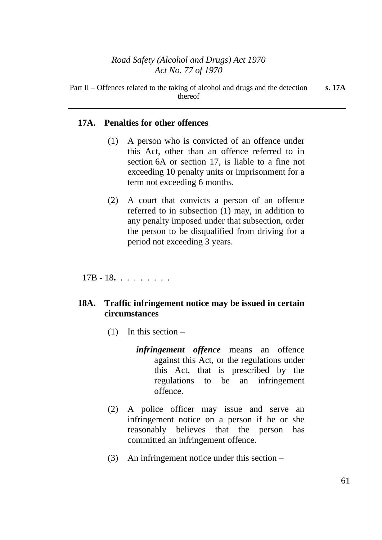### **17A. Penalties for other offences**

- (1) A person who is convicted of an offence under this Act, other than an offence referred to in section 6A or section 17, is liable to a fine not exceeding 10 penalty units or imprisonment for a term not exceeding 6 months.
- (2) A court that convicts a person of an offence referred to in subsection (1) may, in addition to any penalty imposed under that subsection, order the person to be disqualified from driving for a period not exceeding 3 years.

17B - 18**.** . . . . . . . .

## **18A. Traffic infringement notice may be issued in certain circumstances**

- $(1)$  In this section
	- *infringement offence* means an offence against this Act, or the regulations under this Act, that is prescribed by the regulations to be an infringement offence.
- (2) A police officer may issue and serve an infringement notice on a person if he or she reasonably believes that the person has committed an infringement offence.
- (3) An infringement notice under this section –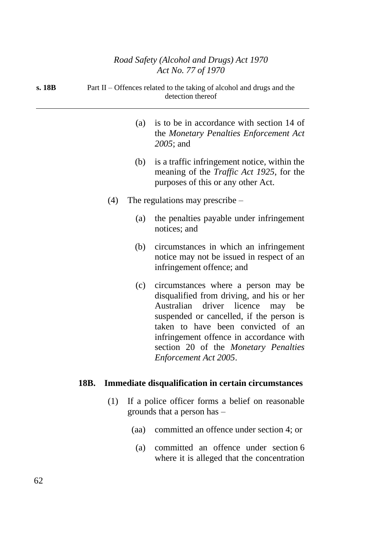| s. 18B |      |     |     | Part II – Offences related to the taking of alcohol and drugs and the<br>detection thereof                                                                                                                                                                                                                                  |
|--------|------|-----|-----|-----------------------------------------------------------------------------------------------------------------------------------------------------------------------------------------------------------------------------------------------------------------------------------------------------------------------------|
|        |      |     | (a) | is to be in accordance with section 14 of<br>the Monetary Penalties Enforcement Act<br>2005; and                                                                                                                                                                                                                            |
|        |      |     | (b) | is a traffic infringement notice, within the<br>meaning of the <i>Traffic Act 1925</i> , for the<br>purposes of this or any other Act.                                                                                                                                                                                      |
|        |      | (4) |     | The regulations may prescribe $-$                                                                                                                                                                                                                                                                                           |
|        |      |     | (a) | the penalties payable under infringement<br>notices; and                                                                                                                                                                                                                                                                    |
|        |      |     | (b) | circumstances in which an infringement<br>notice may not be issued in respect of an<br>infringement offence; and                                                                                                                                                                                                            |
|        |      |     | (c) | circumstances where a person may be<br>disqualified from driving, and his or her<br>Australian<br>driver licence<br>be<br>may<br>suspended or cancelled, if the person is<br>taken to have been convicted of an<br>infringement offence in accordance with<br>section 20 of the Monetary Penalties<br>Enforcement Act 2005. |
|        | 18B. |     |     | <b>Immediate disqualification in certain circumstances</b>                                                                                                                                                                                                                                                                  |
|        |      | (1) |     | If a police officer forms a belief on reasonable<br>grounds that a person has $-$                                                                                                                                                                                                                                           |

- (aa) committed an offence under section 4; or
	- (a) committed an offence under section 6 where it is alleged that the concentration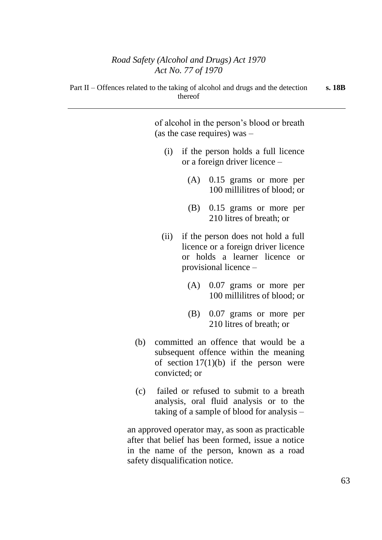of alcohol in the person's blood or breath (as the case requires) was –

- (i) if the person holds a full licence or a foreign driver licence –
	- (A) 0.15 grams or more per 100 millilitres of blood; or
	- (B) 0.15 grams or more per 210 litres of breath; or
- (ii) if the person does not hold a full licence or a foreign driver licence or holds a learner licence or provisional licence –
	- (A) 0.07 grams or more per 100 millilitres of blood; or
	- (B) 0.07 grams or more per 210 litres of breath; or
- (b) committed an offence that would be a subsequent offence within the meaning of section  $17(1)(b)$  if the person were convicted; or
- (c) failed or refused to submit to a breath analysis, oral fluid analysis or to the taking of a sample of blood for analysis –

an approved operator may, as soon as practicable after that belief has been formed, issue a notice in the name of the person, known as a road safety disqualification notice.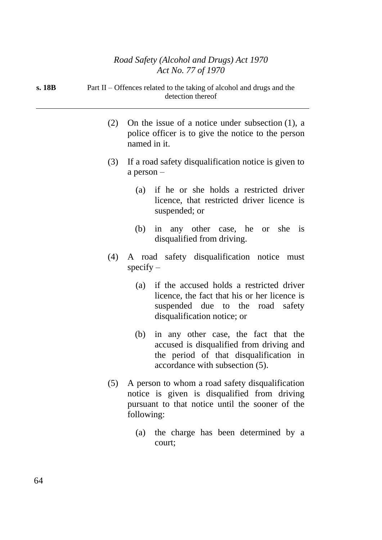| s. 18B | Part II – Offences related to the taking of alcohol and drugs and the |
|--------|-----------------------------------------------------------------------|
|        | detection thereof                                                     |

- (2) On the issue of a notice under subsection (1), a police officer is to give the notice to the person named in it.
- (3) If a road safety disqualification notice is given to a person –
	- (a) if he or she holds a restricted driver licence, that restricted driver licence is suspended; or
	- (b) in any other case, he or she is disqualified from driving.
- (4) A road safety disqualification notice must  $specify -$ 
	- (a) if the accused holds a restricted driver licence, the fact that his or her licence is suspended due to the road safety disqualification notice; or
	- (b) in any other case, the fact that the accused is disqualified from driving and the period of that disqualification in accordance with subsection (5).
- (5) A person to whom a road safety disqualification notice is given is disqualified from driving pursuant to that notice until the sooner of the following:
	- (a) the charge has been determined by a court;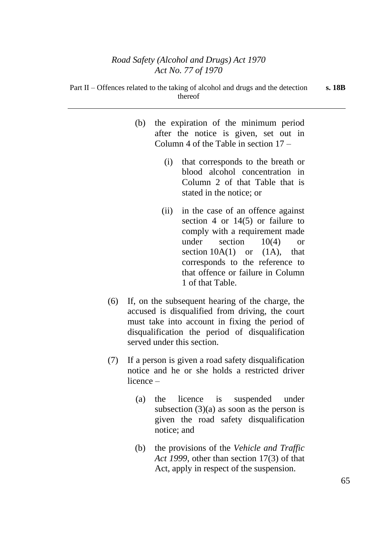- (b) the expiration of the minimum period after the notice is given, set out in Column 4 of the Table in section 17 –
	- (i) that corresponds to the breath or blood alcohol concentration in Column 2 of that Table that is stated in the notice; or
	- (ii) in the case of an offence against section 4 or 14(5) or failure to comply with a requirement made under section 10(4) or section  $10A(1)$  or  $(1A)$ , that corresponds to the reference to that offence or failure in Column 1 of that Table.
- (6) If, on the subsequent hearing of the charge, the accused is disqualified from driving, the court must take into account in fixing the period of disqualification the period of disqualification served under this section.
- (7) If a person is given a road safety disqualification notice and he or she holds a restricted driver licence –
	- (a) the licence is suspended under subsection  $(3)(a)$  as soon as the person is given the road safety disqualification notice; and
	- (b) the provisions of the *Vehicle and Traffic Act 1999*, other than section 17(3) of that Act, apply in respect of the suspension.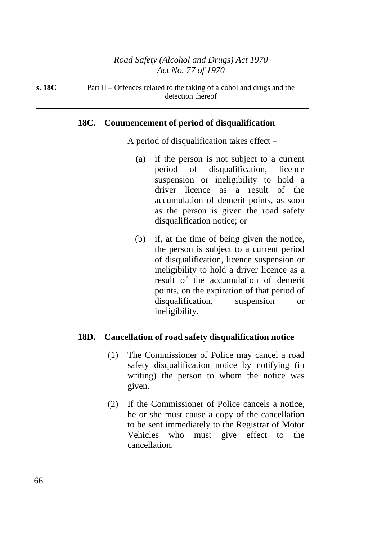**s. 18C** Part II – Offences related to the taking of alcohol and drugs and the detection thereof

### **18C. Commencement of period of disqualification**

A period of disqualification takes effect –

- (a) if the person is not subject to a current period of disqualification, licence suspension or ineligibility to hold a driver licence as a result of the accumulation of demerit points, as soon as the person is given the road safety disqualification notice; or
- (b) if, at the time of being given the notice, the person is subject to a current period of disqualification, licence suspension or ineligibility to hold a driver licence as a result of the accumulation of demerit points, on the expiration of that period of disqualification, suspension or ineligibility.

#### **18D. Cancellation of road safety disqualification notice**

- (1) The Commissioner of Police may cancel a road safety disqualification notice by notifying (in writing) the person to whom the notice was given.
- (2) If the Commissioner of Police cancels a notice, he or she must cause a copy of the cancellation to be sent immediately to the Registrar of Motor Vehicles who must give effect to the cancellation.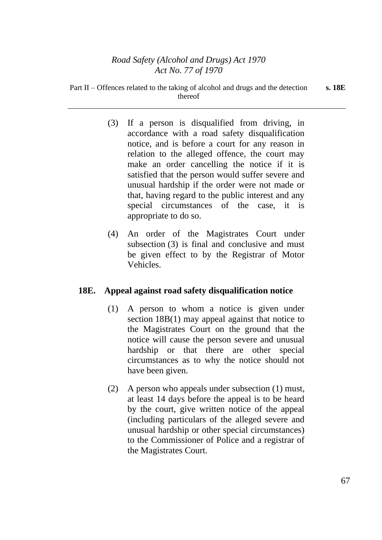- (3) If a person is disqualified from driving, in accordance with a road safety disqualification notice, and is before a court for any reason in relation to the alleged offence, the court may make an order cancelling the notice if it is satisfied that the person would suffer severe and unusual hardship if the order were not made or that, having regard to the public interest and any special circumstances of the case, it is appropriate to do so.
- (4) An order of the Magistrates Court under subsection (3) is final and conclusive and must be given effect to by the Registrar of Motor Vehicles.

# **18E. Appeal against road safety disqualification notice**

- (1) A person to whom a notice is given under section 18B(1) may appeal against that notice to the Magistrates Court on the ground that the notice will cause the person severe and unusual hardship or that there are other special circumstances as to why the notice should not have been given.
- (2) A person who appeals under subsection (1) must, at least 14 days before the appeal is to be heard by the court, give written notice of the appeal (including particulars of the alleged severe and unusual hardship or other special circumstances) to the Commissioner of Police and a registrar of the Magistrates Court.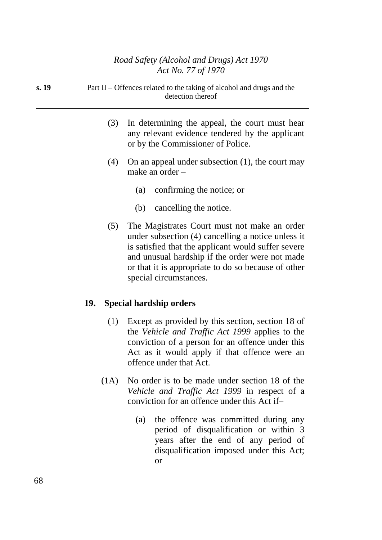| s. 19 | Part II – Offences related to the taking of alcohol and drugs and the<br>detection thereof |
|-------|--------------------------------------------------------------------------------------------|
|       |                                                                                            |

- (3) In determining the appeal, the court must hear any relevant evidence tendered by the applicant or by the Commissioner of Police.
- (4) On an appeal under subsection (1), the court may make an order –
	- (a) confirming the notice; or
	- (b) cancelling the notice.
- (5) The Magistrates Court must not make an order under subsection (4) cancelling a notice unless it is satisfied that the applicant would suffer severe and unusual hardship if the order were not made or that it is appropriate to do so because of other special circumstances.

# **19. Special hardship orders**

- (1) Except as provided by this section, section 18 of the *Vehicle and Traffic Act 1999* applies to the conviction of a person for an offence under this Act as it would apply if that offence were an offence under that Act.
- (1A) No order is to be made under section 18 of the *Vehicle and Traffic Act 1999* in respect of a conviction for an offence under this Act if–
	- (a) the offence was committed during any period of disqualification or within 3 years after the end of any period of disqualification imposed under this Act; or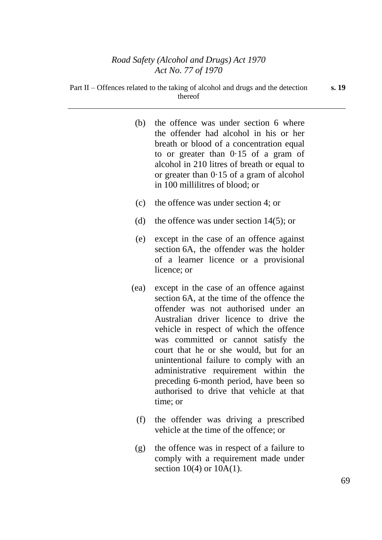| (b)  | the offence was under section 6 where<br>the offender had alcohol in his or her<br>breath or blood of a concentration equal<br>to or greater than 0.15 of a gram of<br>alcohol in 210 litres of breath or equal to<br>or greater than $0.15$ of a gram of alcohol<br>in 100 millilitres of blood; or                                                                                                                                                                                       |
|------|--------------------------------------------------------------------------------------------------------------------------------------------------------------------------------------------------------------------------------------------------------------------------------------------------------------------------------------------------------------------------------------------------------------------------------------------------------------------------------------------|
| (c)  | the offence was under section 4; or                                                                                                                                                                                                                                                                                                                                                                                                                                                        |
| (d)  | the offence was under section $14(5)$ ; or                                                                                                                                                                                                                                                                                                                                                                                                                                                 |
| (e)  | except in the case of an offence against<br>section 6A, the offender was the holder<br>of a learner licence or a provisional<br>licence; or                                                                                                                                                                                                                                                                                                                                                |
| (ea) | except in the case of an offence against<br>section 6A, at the time of the offence the<br>offender was not authorised under an<br>Australian driver licence to drive the<br>vehicle in respect of which the offence<br>was committed or cannot satisfy the<br>court that he or she would, but for an<br>unintentional failure to comply with an<br>administrative requirement within the<br>preceding 6-month period, have been so<br>authorised to drive that vehicle at that<br>time; or |

- (f) the offender was driving a prescribed vehicle at the time of the offence; or
- (g) the offence was in respect of a failure to comply with a requirement made under section 10(4) or 10A(1).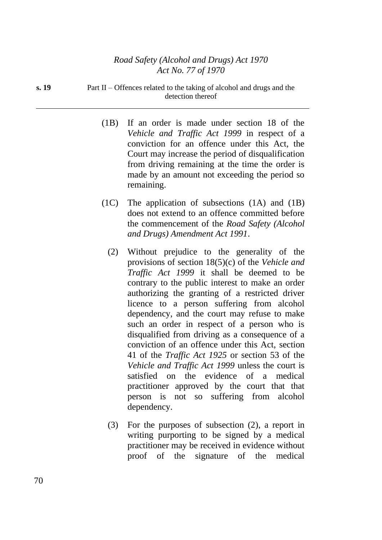**s. 19** Part II – Offences related to the taking of alcohol and drugs and the detection thereof

- (1B) If an order is made under section 18 of the *Vehicle and Traffic Act 1999* in respect of a conviction for an offence under this Act, the Court may increase the period of disqualification from driving remaining at the time the order is made by an amount not exceeding the period so remaining.
- (1C) The application of subsections (1A) and (1B) does not extend to an offence committed before the commencement of the *Road Safety (Alcohol and Drugs) Amendment Act 1991*.
	- (2) Without prejudice to the generality of the provisions of section 18(5)(c) of the *Vehicle and Traffic Act 1999* it shall be deemed to be contrary to the public interest to make an order authorizing the granting of a restricted driver licence to a person suffering from alcohol dependency, and the court may refuse to make such an order in respect of a person who is disqualified from driving as a consequence of a conviction of an offence under this Act, section 41 of the *Traffic Act 1925* or section 53 of the *Vehicle and Traffic Act 1999* unless the court is satisfied on the evidence of a medical practitioner approved by the court that that person is not so suffering from alcohol dependency.
	- (3) For the purposes of subsection (2), a report in writing purporting to be signed by a medical practitioner may be received in evidence without proof of the signature of the medical

70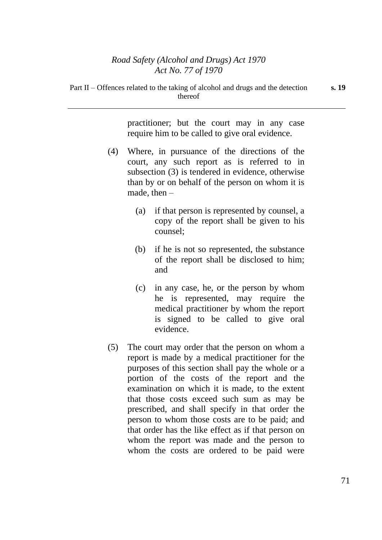practitioner; but the court may in any case require him to be called to give oral evidence.

- (4) Where, in pursuance of the directions of the court, any such report as is referred to in subsection (3) is tendered in evidence, otherwise than by or on behalf of the person on whom it is made, then –
	- (a) if that person is represented by counsel, a copy of the report shall be given to his counsel;
	- (b) if he is not so represented, the substance of the report shall be disclosed to him; and
	- (c) in any case, he, or the person by whom he is represented, may require the medical practitioner by whom the report is signed to be called to give oral evidence.
- (5) The court may order that the person on whom a report is made by a medical practitioner for the purposes of this section shall pay the whole or a portion of the costs of the report and the examination on which it is made, to the extent that those costs exceed such sum as may be prescribed, and shall specify in that order the person to whom those costs are to be paid; and that order has the like effect as if that person on whom the report was made and the person to whom the costs are ordered to be paid were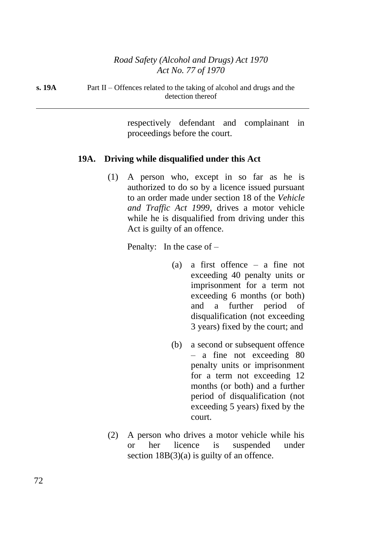**s. 19A** Part II – Offences related to the taking of alcohol and drugs and the detection thereof

> respectively defendant and complainant in proceedings before the court.

#### **19A. Driving while disqualified under this Act**

(1) A person who, except in so far as he is authorized to do so by a licence issued pursuant to an order made under section 18 of the *Vehicle and Traffic Act 1999*, drives a motor vehicle while he is disqualified from driving under this Act is guilty of an offence.

Penalty: In the case of –

- (a) a first offence a fine not exceeding 40 penalty units or imprisonment for a term not exceeding 6 months (or both) and a further period of disqualification (not exceeding 3 years) fixed by the court; and
- (b) a second or subsequent offence – a fine not exceeding 80 penalty units or imprisonment for a term not exceeding 12 months (or both) and a further period of disqualification (not exceeding 5 years) fixed by the court.
- (2) A person who drives a motor vehicle while his or her licence is suspended under section  $18B(3)(a)$  is guilty of an offence.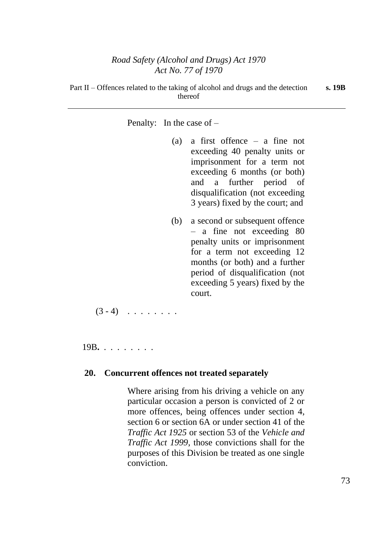Penalty: In the case of –

- (a) a first offence a fine not exceeding 40 penalty units or imprisonment for a term not exceeding 6 months (or both) and a further period of disqualification (not exceeding 3 years) fixed by the court; and
- (b) a second or subsequent offence – a fine not exceeding 80 penalty units or imprisonment for a term not exceeding 12 months (or both) and a further period of disqualification (not exceeding 5 years) fixed by the court.

 $(3 - 4)$  . . . . . . .

19B**.** . . . . . . . .

### **20. Concurrent offences not treated separately**

Where arising from his driving a vehicle on any particular occasion a person is convicted of 2 or more offences, being offences under section 4, section 6 or section 6A or under section 41 of the *Traffic Act 1925* or section 53 of the *Vehicle and Traffic Act 1999*, those convictions shall for the purposes of this Division be treated as one single conviction.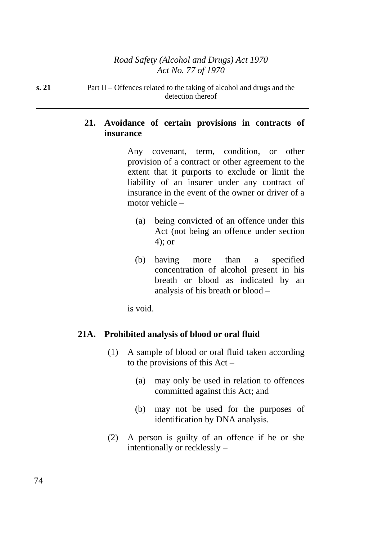**s. 21** Part II – Offences related to the taking of alcohol and drugs and the detection thereof

# **21. Avoidance of certain provisions in contracts of insurance**

Any covenant, term, condition, or other provision of a contract or other agreement to the extent that it purports to exclude or limit the liability of an insurer under any contract of insurance in the event of the owner or driver of a motor vehicle –

- (a) being convicted of an offence under this Act (not being an offence under section 4); or
- (b) having more than a specified concentration of alcohol present in his breath or blood as indicated by an analysis of his breath or blood –

is void.

# **21A. Prohibited analysis of blood or oral fluid**

- (1) A sample of blood or oral fluid taken according to the provisions of this Act –
	- (a) may only be used in relation to offences committed against this Act; and
	- (b) may not be used for the purposes of identification by DNA analysis.
- (2) A person is guilty of an offence if he or she intentionally or recklessly –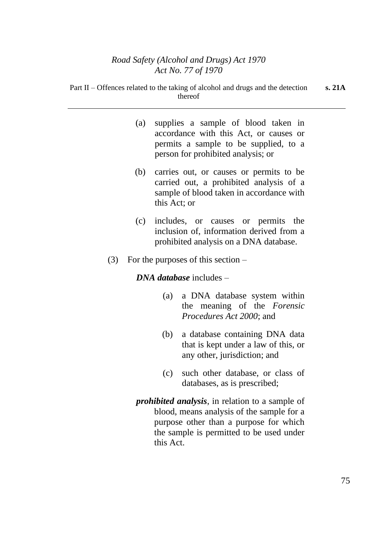Part II – Offences related to the taking of alcohol and drugs and the detection thereof

| (a) | supplies a sample of blood taken in<br>accordance with this Act, or causes or<br>permits a sample to be supplied, to a<br>person for prohibited analysis; or |  |
|-----|--------------------------------------------------------------------------------------------------------------------------------------------------------------|--|
| (b) | carries out, or causes or permits to be<br>carried out, a prohibited analysis of a<br>sample of blood taken in accordance with<br>this Act; or               |  |
|     | (c) includes, or causes or permits the<br>inclusion of, information derived from a<br>prohibited analysis on a DNA database.                                 |  |
| (3) | For the purposes of this section $-$                                                                                                                         |  |
|     | $DNA$ database includes $-$                                                                                                                                  |  |
|     | a DNA database system within<br>(a)<br>the meaning of the Forensic<br><i>Procedures Act 2000; and</i>                                                        |  |
|     | a database containing DNA data<br>(b)<br>that is kept under a law of this, or<br>any other, jurisdiction; and                                                |  |
|     | such other database, or class of<br>(c)<br>databases, as is prescribed;                                                                                      |  |
|     | <i>prohibited analysis</i> , in relation to a sample of                                                                                                      |  |
|     | blood, means analysis of the sample for a<br>purpose other than a purpose for which<br>the sample is permitted to be used under<br>this Act.                 |  |

**s. 21A**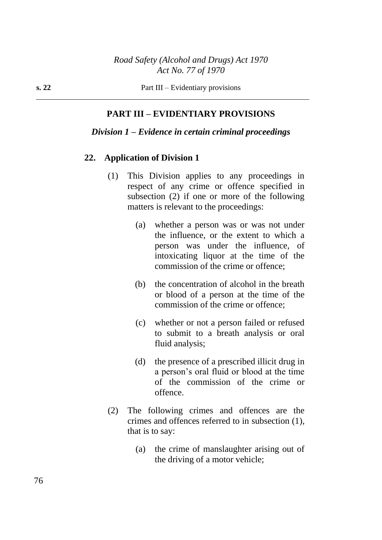# **PART III – EVIDENTIARY PROVISIONS**

### *Division 1 – Evidence in certain criminal proceedings*

#### **22. Application of Division 1**

- (1) This Division applies to any proceedings in respect of any crime or offence specified in subsection (2) if one or more of the following matters is relevant to the proceedings:
	- (a) whether a person was or was not under the influence, or the extent to which a person was under the influence, of intoxicating liquor at the time of the commission of the crime or offence;
	- (b) the concentration of alcohol in the breath or blood of a person at the time of the commission of the crime or offence;
	- (c) whether or not a person failed or refused to submit to a breath analysis or oral fluid analysis;
	- (d) the presence of a prescribed illicit drug in a person's oral fluid or blood at the time of the commission of the crime or offence.
- (2) The following crimes and offences are the crimes and offences referred to in subsection (1), that is to say:
	- (a) the crime of manslaughter arising out of the driving of a motor vehicle;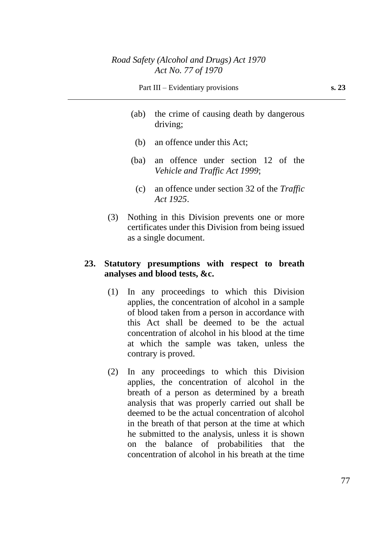- (ab) the crime of causing death by dangerous driving;
- (b) an offence under this Act;
- (ba) an offence under section 12 of the *Vehicle and Traffic Act 1999*;
	- (c) an offence under section 32 of the *Traffic Act 1925*.
- (3) Nothing in this Division prevents one or more certificates under this Division from being issued as a single document.

# **23. Statutory presumptions with respect to breath analyses and blood tests, &c.**

- (1) In any proceedings to which this Division applies, the concentration of alcohol in a sample of blood taken from a person in accordance with this Act shall be deemed to be the actual concentration of alcohol in his blood at the time at which the sample was taken, unless the contrary is proved.
- (2) In any proceedings to which this Division applies, the concentration of alcohol in the breath of a person as determined by a breath analysis that was properly carried out shall be deemed to be the actual concentration of alcohol in the breath of that person at the time at which he submitted to the analysis, unless it is shown on the balance of probabilities that the concentration of alcohol in his breath at the time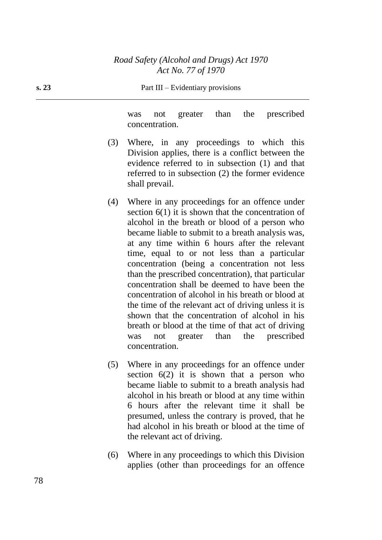**s. 23** Part III – Evidentiary provisions

was not greater than the prescribed concentration.

- (3) Where, in any proceedings to which this Division applies, there is a conflict between the evidence referred to in subsection (1) and that referred to in subsection (2) the former evidence shall prevail.
- (4) Where in any proceedings for an offence under section 6(1) it is shown that the concentration of alcohol in the breath or blood of a person who became liable to submit to a breath analysis was, at any time within 6 hours after the relevant time, equal to or not less than a particular concentration (being a concentration not less than the prescribed concentration), that particular concentration shall be deemed to have been the concentration of alcohol in his breath or blood at the time of the relevant act of driving unless it is shown that the concentration of alcohol in his breath or blood at the time of that act of driving was not greater than the prescribed concentration.
- (5) Where in any proceedings for an offence under section  $6(2)$  it is shown that a person who became liable to submit to a breath analysis had alcohol in his breath or blood at any time within 6 hours after the relevant time it shall be presumed, unless the contrary is proved, that he had alcohol in his breath or blood at the time of the relevant act of driving.
- (6) Where in any proceedings to which this Division applies (other than proceedings for an offence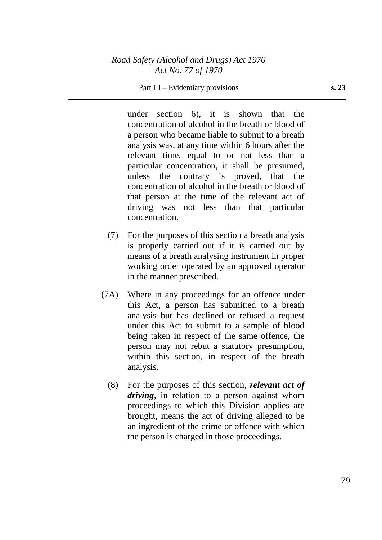#### Part III – Evidentiary provisions **s. 23**

under section 6), it is shown that the concentration of alcohol in the breath or blood of a person who became liable to submit to a breath analysis was, at any time within 6 hours after the relevant time, equal to or not less than a particular concentration, it shall be presumed, unless the contrary is proved, that the concentration of alcohol in the breath or blood of that person at the time of the relevant act of driving was not less than that particular concentration.

- (7) For the purposes of this section a breath analysis is properly carried out if it is carried out by means of a breath analysing instrument in proper working order operated by an approved operator in the manner prescribed.
- (7A) Where in any proceedings for an offence under this Act, a person has submitted to a breath analysis but has declined or refused a request under this Act to submit to a sample of blood being taken in respect of the same offence, the person may not rebut a statutory presumption, within this section, in respect of the breath analysis.
	- (8) For the purposes of this section, *relevant act of driving*, in relation to a person against whom proceedings to which this Division applies are brought, means the act of driving alleged to be an ingredient of the crime or offence with which the person is charged in those proceedings.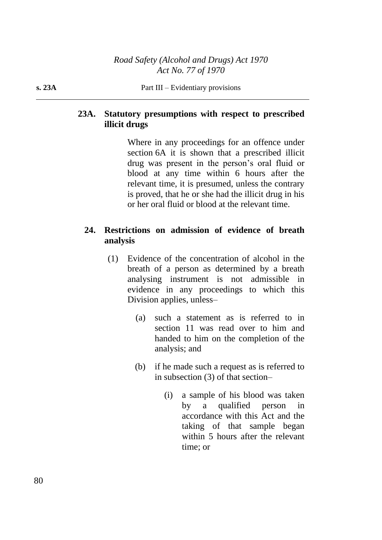# **23A. Statutory presumptions with respect to prescribed illicit drugs**

Where in any proceedings for an offence under section 6A it is shown that a prescribed illicit drug was present in the person's oral fluid or blood at any time within 6 hours after the relevant time, it is presumed, unless the contrary is proved, that he or she had the illicit drug in his or her oral fluid or blood at the relevant time.

# **24. Restrictions on admission of evidence of breath analysis**

- (1) Evidence of the concentration of alcohol in the breath of a person as determined by a breath analysing instrument is not admissible in evidence in any proceedings to which this Division applies, unless–
	- (a) such a statement as is referred to in section 11 was read over to him and handed to him on the completion of the analysis; and
	- (b) if he made such a request as is referred to in subsection (3) of that section–
		- (i) a sample of his blood was taken by a qualified person in accordance with this Act and the taking of that sample began within 5 hours after the relevant time; or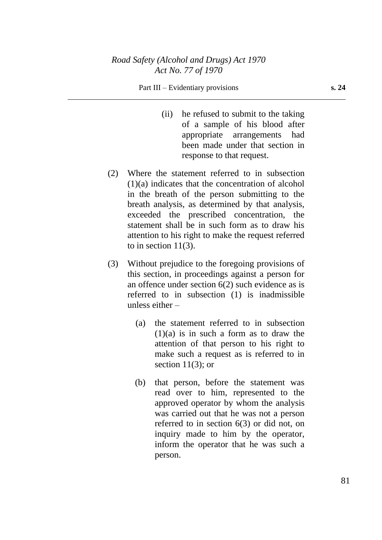#### Part III – Evidentiary provisions **s. 24**

- (ii) he refused to submit to the taking of a sample of his blood after appropriate arrangements had been made under that section in response to that request.
- (2) Where the statement referred to in subsection (1)(a) indicates that the concentration of alcohol in the breath of the person submitting to the breath analysis, as determined by that analysis, exceeded the prescribed concentration, the statement shall be in such form as to draw his attention to his right to make the request referred to in section  $11(3)$ .
- (3) Without prejudice to the foregoing provisions of this section, in proceedings against a person for an offence under section 6(2) such evidence as is referred to in subsection (1) is inadmissible unless either –
	- (a) the statement referred to in subsection  $(1)(a)$  is in such a form as to draw the attention of that person to his right to make such a request as is referred to in section  $11(3)$ ; or
	- (b) that person, before the statement was read over to him, represented to the approved operator by whom the analysis was carried out that he was not a person referred to in section 6(3) or did not, on inquiry made to him by the operator, inform the operator that he was such a person.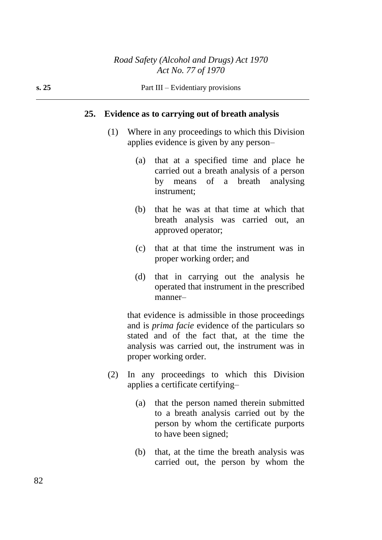#### **25. Evidence as to carrying out of breath analysis**

- (1) Where in any proceedings to which this Division applies evidence is given by any person–
	- (a) that at a specified time and place he carried out a breath analysis of a person by means of a breath analysing instrument;
	- (b) that he was at that time at which that breath analysis was carried out, an approved operator;
	- (c) that at that time the instrument was in proper working order; and
	- (d) that in carrying out the analysis he operated that instrument in the prescribed manner–

that evidence is admissible in those proceedings and is *prima facie* evidence of the particulars so stated and of the fact that, at the time the analysis was carried out, the instrument was in proper working order.

- (2) In any proceedings to which this Division applies a certificate certifying–
	- (a) that the person named therein submitted to a breath analysis carried out by the person by whom the certificate purports to have been signed;
	- (b) that, at the time the breath analysis was carried out, the person by whom the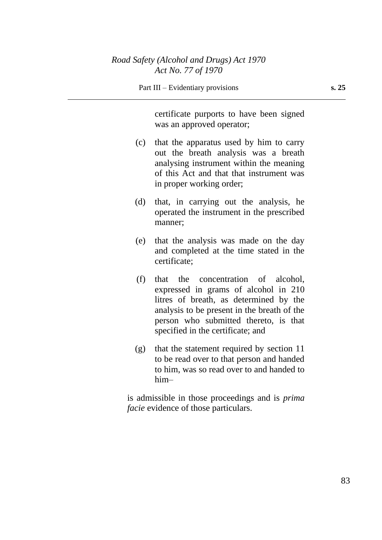certificate purports to have been signed was an approved operator;

- (c) that the apparatus used by him to carry out the breath analysis was a breath analysing instrument within the meaning of this Act and that that instrument was in proper working order;
- (d) that, in carrying out the analysis, he operated the instrument in the prescribed manner;
- (e) that the analysis was made on the day and completed at the time stated in the certificate;
- (f) that the concentration of alcohol, expressed in grams of alcohol in 210 litres of breath, as determined by the analysis to be present in the breath of the person who submitted thereto, is that specified in the certificate; and
- (g) that the statement required by section 11 to be read over to that person and handed to him, was so read over to and handed to him–

is admissible in those proceedings and is *prima facie* evidence of those particulars.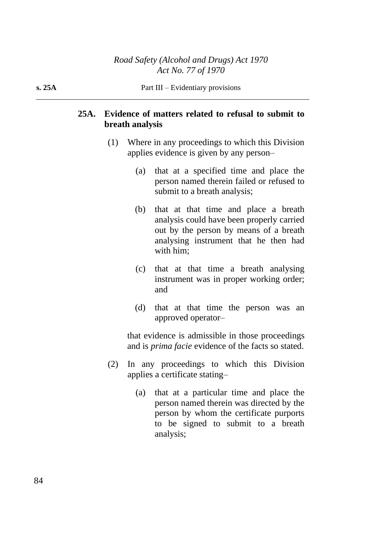# **25A. Evidence of matters related to refusal to submit to breath analysis**

- (1) Where in any proceedings to which this Division applies evidence is given by any person–
	- (a) that at a specified time and place the person named therein failed or refused to submit to a breath analysis;
	- (b) that at that time and place a breath analysis could have been properly carried out by the person by means of a breath analysing instrument that he then had with him;
	- (c) that at that time a breath analysing instrument was in proper working order; and
	- (d) that at that time the person was an approved operator–

that evidence is admissible in those proceedings and is *prima facie* evidence of the facts so stated.

- (2) In any proceedings to which this Division applies a certificate stating–
	- (a) that at a particular time and place the person named therein was directed by the person by whom the certificate purports to be signed to submit to a breath analysis;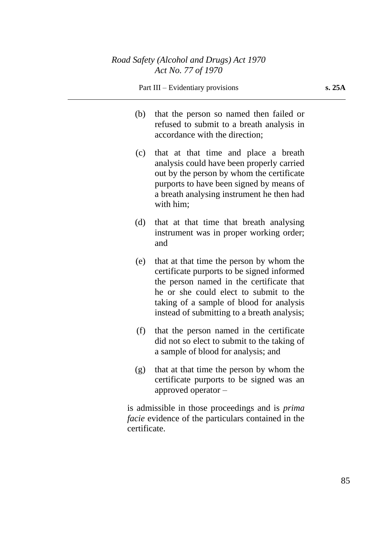- (b) that the person so named then failed or refused to submit to a breath analysis in accordance with the direction;
- (c) that at that time and place a breath analysis could have been properly carried out by the person by whom the certificate purports to have been signed by means of a breath analysing instrument he then had with him;
- (d) that at that time that breath analysing instrument was in proper working order; and
- (e) that at that time the person by whom the certificate purports to be signed informed the person named in the certificate that he or she could elect to submit to the taking of a sample of blood for analysis instead of submitting to a breath analysis;
- (f) that the person named in the certificate did not so elect to submit to the taking of a sample of blood for analysis; and
- (g) that at that time the person by whom the certificate purports to be signed was an approved operator –

is admissible in those proceedings and is *prima facie* evidence of the particulars contained in the certificate.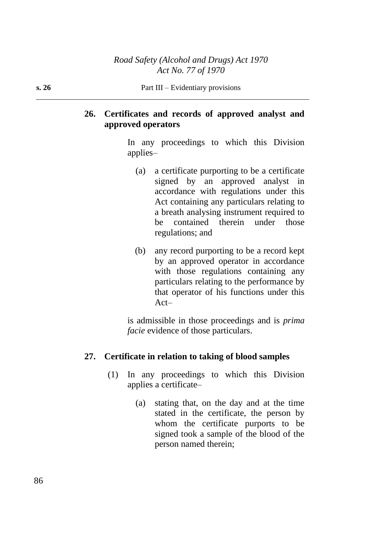# **26. Certificates and records of approved analyst and approved operators**

In any proceedings to which this Division applies–

- (a) a certificate purporting to be a certificate signed by an approved analyst in accordance with regulations under this Act containing any particulars relating to a breath analysing instrument required to be contained therein under those regulations; and
- (b) any record purporting to be a record kept by an approved operator in accordance with those regulations containing any particulars relating to the performance by that operator of his functions under this Act–

is admissible in those proceedings and is *prima facie* evidence of those particulars.

## **27. Certificate in relation to taking of blood samples**

- (1) In any proceedings to which this Division applies a certificate–
	- (a) stating that, on the day and at the time stated in the certificate, the person by whom the certificate purports to be signed took a sample of the blood of the person named therein;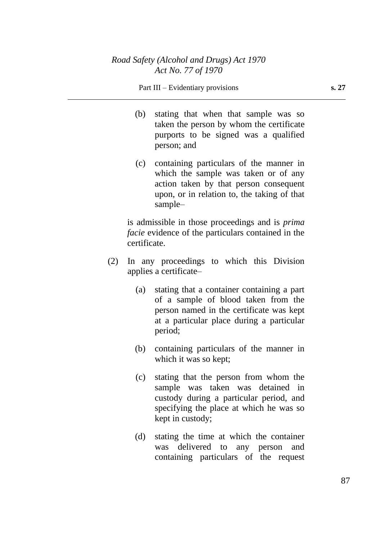#### Part III – Evidentiary provisions **s. 27**

- (b) stating that when that sample was so taken the person by whom the certificate purports to be signed was a qualified person; and
- (c) containing particulars of the manner in which the sample was taken or of any action taken by that person consequent upon, or in relation to, the taking of that sample–

is admissible in those proceedings and is *prima facie* evidence of the particulars contained in the certificate.

- (2) In any proceedings to which this Division applies a certificate–
	- (a) stating that a container containing a part of a sample of blood taken from the person named in the certificate was kept at a particular place during a particular period;
	- (b) containing particulars of the manner in which it was so kept;
	- (c) stating that the person from whom the sample was taken was detained in custody during a particular period, and specifying the place at which he was so kept in custody;
	- (d) stating the time at which the container was delivered to any person and containing particulars of the request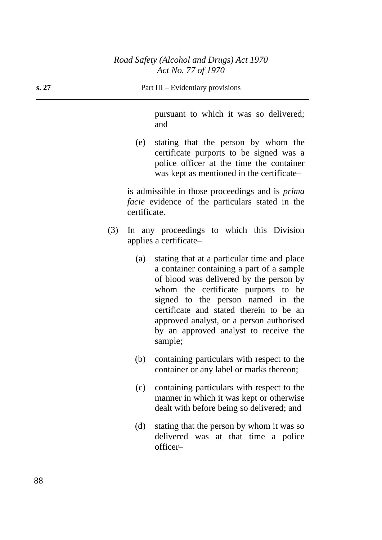pursuant to which it was so delivered; and

(e) stating that the person by whom the certificate purports to be signed was a police officer at the time the container was kept as mentioned in the certificate–

is admissible in those proceedings and is *prima facie* evidence of the particulars stated in the certificate.

- (3) In any proceedings to which this Division applies a certificate–
	- (a) stating that at a particular time and place a container containing a part of a sample of blood was delivered by the person by whom the certificate purports to be signed to the person named in the certificate and stated therein to be an approved analyst, or a person authorised by an approved analyst to receive the sample;
	- (b) containing particulars with respect to the container or any label or marks thereon;
	- (c) containing particulars with respect to the manner in which it was kept or otherwise dealt with before being so delivered; and
	- (d) stating that the person by whom it was so delivered was at that time a police officer–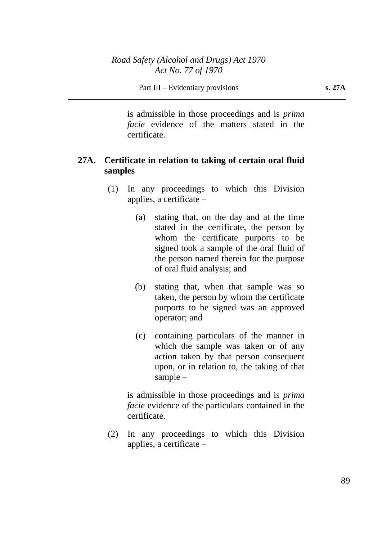is admissible in those proceedings and is *prima facie* evidence of the matters stated in the certificate.

# **27A. Certificate in relation to taking of certain oral fluid samples**

- (1) In any proceedings to which this Division applies, a certificate –
	- (a) stating that, on the day and at the time stated in the certificate, the person by whom the certificate purports to be signed took a sample of the oral fluid of the person named therein for the purpose of oral fluid analysis; and
	- (b) stating that, when that sample was so taken, the person by whom the certificate purports to be signed was an approved operator; and
	- (c) containing particulars of the manner in which the sample was taken or of any action taken by that person consequent upon, or in relation to, the taking of that sample –

is admissible in those proceedings and is *prima facie* evidence of the particulars contained in the certificate.

(2) In any proceedings to which this Division applies, a certificate –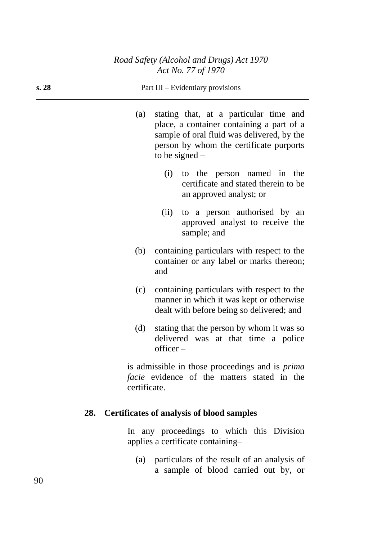| s. 28 |              | Part III – Evidentiary provisions                                                                                                                                                                |
|-------|--------------|--------------------------------------------------------------------------------------------------------------------------------------------------------------------------------------------------|
|       | (a)          | stating that, at a particular time and<br>place, a container containing a part of a<br>sample of oral fluid was delivered, by the<br>person by whom the certificate purports<br>to be signed $-$ |
|       |              | to the person named in the<br>(i)<br>certificate and stated therein to be<br>an approved analyst; or                                                                                             |
|       |              | to a person authorised by an<br>(ii)<br>approved analyst to receive the<br>sample; and                                                                                                           |
|       | (b)          | containing particulars with respect to the<br>container or any label or marks thereon;<br>and                                                                                                    |
|       | (c)          | containing particulars with respect to the<br>manner in which it was kept or otherwise<br>dealt with before being so delivered; and                                                              |
|       | (d)          | stating that the person by whom it was so<br>delivered was at that time a police<br>$of \text{ficer} -$                                                                                          |
|       | certificate. | is admissible in those proceedings and is <i>prima</i><br><i>facie</i> evidence of the matters stated in the                                                                                     |
| 28.   |              | <b>Certificates of analysis of blood samples</b>                                                                                                                                                 |

In any proceedings to which this Division applies a certificate containing–

(a) particulars of the result of an analysis of a sample of blood carried out by, or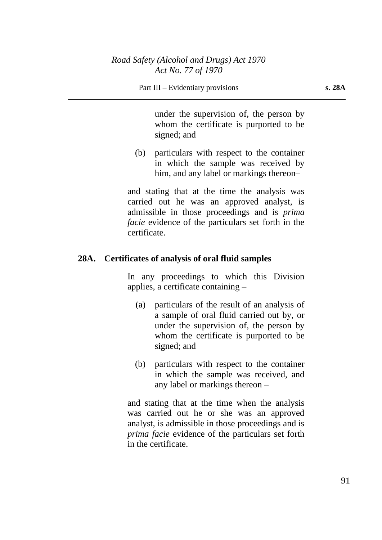under the supervision of, the person by whom the certificate is purported to be signed; and

(b) particulars with respect to the container in which the sample was received by him, and any label or markings thereon–

and stating that at the time the analysis was carried out he was an approved analyst, is admissible in those proceedings and is *prima facie* evidence of the particulars set forth in the certificate.

# **28A. Certificates of analysis of oral fluid samples**

In any proceedings to which this Division applies, a certificate containing –

- (a) particulars of the result of an analysis of a sample of oral fluid carried out by, or under the supervision of, the person by whom the certificate is purported to be signed; and
- (b) particulars with respect to the container in which the sample was received, and any label or markings thereon –

and stating that at the time when the analysis was carried out he or she was an approved analyst, is admissible in those proceedings and is *prima facie* evidence of the particulars set forth in the certificate.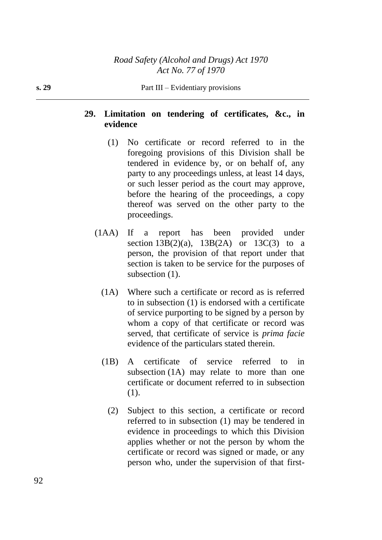# **29. Limitation on tendering of certificates, &c., in evidence**

- (1) No certificate or record referred to in the foregoing provisions of this Division shall be tendered in evidence by, or on behalf of, any party to any proceedings unless, at least 14 days, or such lesser period as the court may approve, before the hearing of the proceedings, a copy thereof was served on the other party to the proceedings.
- (1AA) If a report has been provided under section  $13B(2)(a)$ ,  $13B(2A)$  or  $13C(3)$  to a person, the provision of that report under that section is taken to be service for the purposes of subsection  $(1)$ .
	- (1A) Where such a certificate or record as is referred to in subsection (1) is endorsed with a certificate of service purporting to be signed by a person by whom a copy of that certificate or record was served, that certificate of service is *prima facie* evidence of the particulars stated therein.
	- (1B) A certificate of service referred to in subsection (1A) may relate to more than one certificate or document referred to in subsection (1).
		- (2) Subject to this section, a certificate or record referred to in subsection (1) may be tendered in evidence in proceedings to which this Division applies whether or not the person by whom the certificate or record was signed or made, or any person who, under the supervision of that first-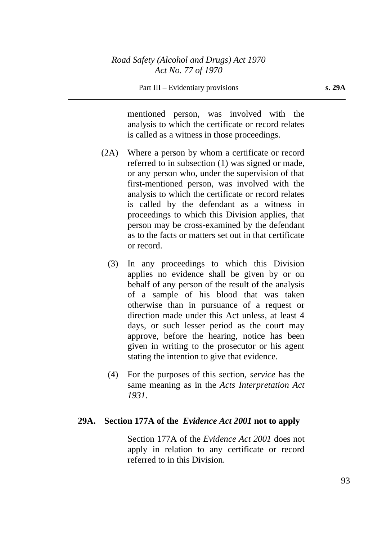mentioned person, was involved with the analysis to which the certificate or record relates is called as a witness in those proceedings.

- (2A) Where a person by whom a certificate or record referred to in subsection (1) was signed or made, or any person who, under the supervision of that first-mentioned person, was involved with the analysis to which the certificate or record relates is called by the defendant as a witness in proceedings to which this Division applies, that person may be cross-examined by the defendant as to the facts or matters set out in that certificate or record.
	- (3) In any proceedings to which this Division applies no evidence shall be given by or on behalf of any person of the result of the analysis of a sample of his blood that was taken otherwise than in pursuance of a request or direction made under this Act unless, at least 4 days, or such lesser period as the court may approve, before the hearing, notice has been given in writing to the prosecutor or his agent stating the intention to give that evidence.
	- (4) For the purposes of this section, *service* has the same meaning as in the *Acts Interpretation Act 1931*.

### **29A. Section 177A of the** *Evidence Act 2001* **not to apply**

Section 177A of the *Evidence Act 2001* does not apply in relation to any certificate or record referred to in this Division.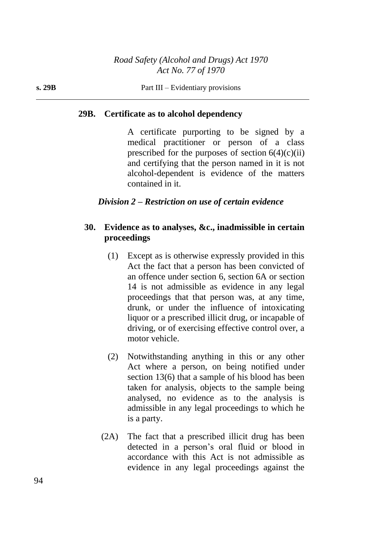# **29B. Certificate as to alcohol dependency**

A certificate purporting to be signed by a medical practitioner or person of a class prescribed for the purposes of section  $6(4)(c)(ii)$ and certifying that the person named in it is not alcohol-dependent is evidence of the matters contained in it.

# *Division 2 – Restriction on use of certain evidence*

# **30. Evidence as to analyses, &c., inadmissible in certain proceedings**

- (1) Except as is otherwise expressly provided in this Act the fact that a person has been convicted of an offence under section 6, section 6A or section 14 is not admissible as evidence in any legal proceedings that that person was, at any time, drunk, or under the influence of intoxicating liquor or a prescribed illicit drug, or incapable of driving, or of exercising effective control over, a motor vehicle.
- (2) Notwithstanding anything in this or any other Act where a person, on being notified under section 13(6) that a sample of his blood has been taken for analysis, objects to the sample being analysed, no evidence as to the analysis is admissible in any legal proceedings to which he is a party.
- (2A) The fact that a prescribed illicit drug has been detected in a person's oral fluid or blood in accordance with this Act is not admissible as evidence in any legal proceedings against the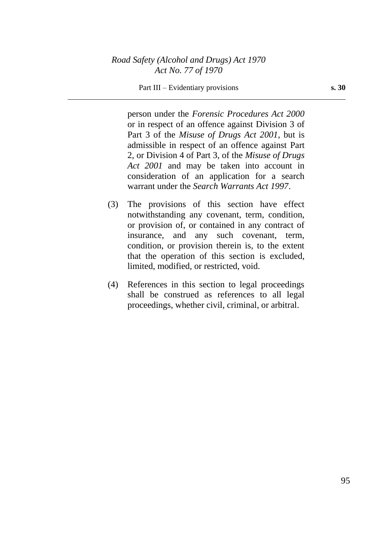### Part III – Evidentiary provisions **s. 30**

person under the *Forensic Procedures Act 2000* or in respect of an offence against Division 3 of Part 3 of the *Misuse of Drugs Act 2001*, but is admissible in respect of an offence against Part 2, or Division 4 of Part 3, of the *Misuse of Drugs Act 2001* and may be taken into account in consideration of an application for a search warrant under the *Search Warrants Act 1997*.

- (3) The provisions of this section have effect notwithstanding any covenant, term, condition, or provision of, or contained in any contract of insurance, and any such covenant, term, condition, or provision therein is, to the extent that the operation of this section is excluded, limited, modified, or restricted, void.
- (4) References in this section to legal proceedings shall be construed as references to all legal proceedings, whether civil, criminal, or arbitral.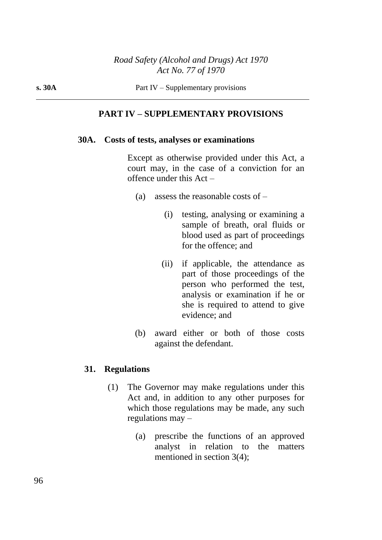### **PART IV – SUPPLEMENTARY PROVISIONS**

#### **30A. Costs of tests, analyses or examinations**

Except as otherwise provided under this Act, a court may, in the case of a conviction for an offence under this Act –

- (a) assess the reasonable costs of  $-$ 
	- (i) testing, analysing or examining a sample of breath, oral fluids or blood used as part of proceedings for the offence; and
	- (ii) if applicable, the attendance as part of those proceedings of the person who performed the test, analysis or examination if he or she is required to attend to give evidence; and
- (b) award either or both of those costs against the defendant.

### **31. Regulations**

- (1) The Governor may make regulations under this Act and, in addition to any other purposes for which those regulations may be made, any such regulations may –
	- (a) prescribe the functions of an approved analyst in relation to the matters mentioned in section 3(4);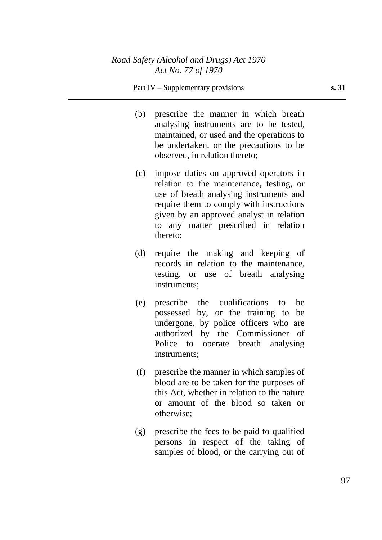#### Part IV – Supplementary provisions **s. 31**

- (b) prescribe the manner in which breath analysing instruments are to be tested, maintained, or used and the operations to be undertaken, or the precautions to be observed, in relation thereto;
- (c) impose duties on approved operators in relation to the maintenance, testing, or use of breath analysing instruments and require them to comply with instructions given by an approved analyst in relation to any matter prescribed in relation thereto;
- (d) require the making and keeping of records in relation to the maintenance, testing, or use of breath analysing instruments;
- (e) prescribe the qualifications to be possessed by, or the training to be undergone, by police officers who are authorized by the Commissioner of Police to operate breath analysing instruments;
- (f) prescribe the manner in which samples of blood are to be taken for the purposes of this Act, whether in relation to the nature or amount of the blood so taken or otherwise;
- (g) prescribe the fees to be paid to qualified persons in respect of the taking of samples of blood, or the carrying out of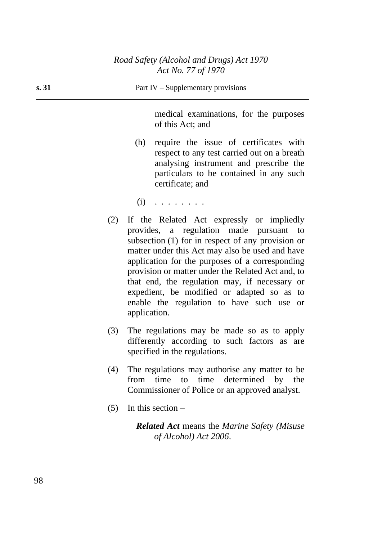medical examinations, for the purposes of this Act; and

- (h) require the issue of certificates with respect to any test carried out on a breath analysing instrument and prescribe the particulars to be contained in any such certificate; and
- $(i)$   $\ldots$  . . . . . .
- (2) If the Related Act expressly or impliedly provides, a regulation made pursuant to subsection (1) for in respect of any provision or matter under this Act may also be used and have application for the purposes of a corresponding provision or matter under the Related Act and, to that end, the regulation may, if necessary or expedient, be modified or adapted so as to enable the regulation to have such use or application.
- (3) The regulations may be made so as to apply differently according to such factors as are specified in the regulations.
- (4) The regulations may authorise any matter to be from time to time determined by the Commissioner of Police or an approved analyst.
- $(5)$  In this section –

*Related Act* means the *Marine Safety (Misuse of Alcohol) Act 2006*.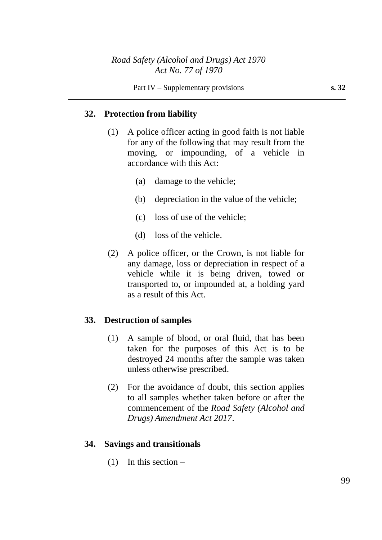# **32. Protection from liability**

- (1) A police officer acting in good faith is not liable for any of the following that may result from the moving, or impounding, of a vehicle in accordance with this Act:
	- (a) damage to the vehicle;
	- (b) depreciation in the value of the vehicle;
	- (c) loss of use of the vehicle;
	- (d) loss of the vehicle.
- (2) A police officer, or the Crown, is not liable for any damage, loss or depreciation in respect of a vehicle while it is being driven, towed or transported to, or impounded at, a holding yard as a result of this Act.

## **33. Destruction of samples**

- (1) A sample of blood, or oral fluid, that has been taken for the purposes of this Act is to be destroyed 24 months after the sample was taken unless otherwise prescribed.
- (2) For the avoidance of doubt, this section applies to all samples whether taken before or after the commencement of the *Road Safety (Alcohol and Drugs) Amendment Act 2017*.

## **34. Savings and transitionals**

 $(1)$  In this section –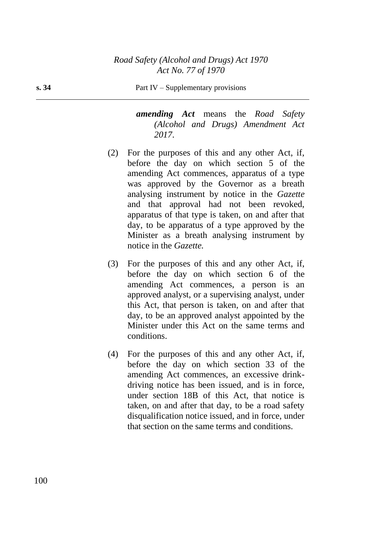*amending Act* means the *Road Safety (Alcohol and Drugs) Amendment Act 2017*.

- (2) For the purposes of this and any other Act, if, before the day on which section 5 of the amending Act commences, apparatus of a type was approved by the Governor as a breath analysing instrument by notice in the *Gazette* and that approval had not been revoked, apparatus of that type is taken, on and after that day, to be apparatus of a type approved by the Minister as a breath analysing instrument by notice in the *Gazette.*
- (3) For the purposes of this and any other Act, if, before the day on which section 6 of the amending Act commences, a person is an approved analyst, or a supervising analyst, under this Act, that person is taken, on and after that day, to be an approved analyst appointed by the Minister under this Act on the same terms and conditions.
- (4) For the purposes of this and any other Act, if, before the day on which section 33 of the amending Act commences, an excessive drinkdriving notice has been issued, and is in force, under section 18B of this Act, that notice is taken, on and after that day, to be a road safety disqualification notice issued, and in force, under that section on the same terms and conditions.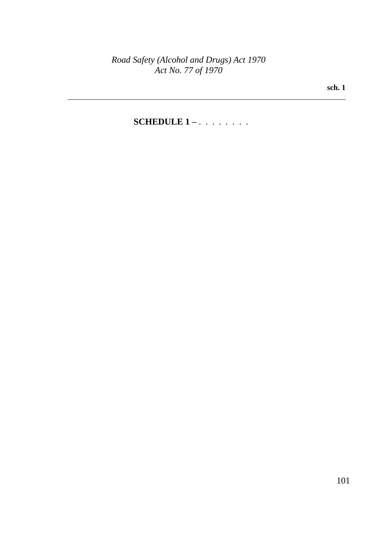**sch. 1**

# **SCHEDULE 1 –** . . . . . . . .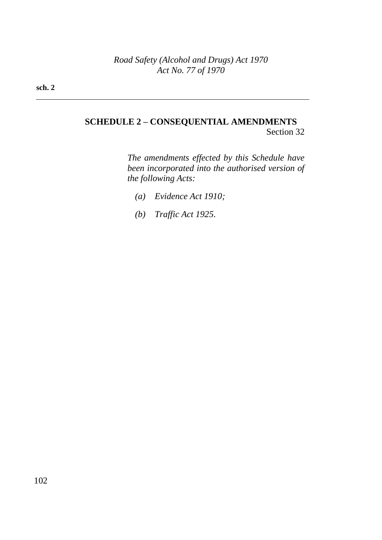# **SCHEDULE 2 – CONSEQUENTIAL AMENDMENTS** Section 32

*The amendments effected by this Schedule have been incorporated into the authorised version of the following Acts:*

- *(a) Evidence Act 1910;*
- *(b) Traffic Act 1925.*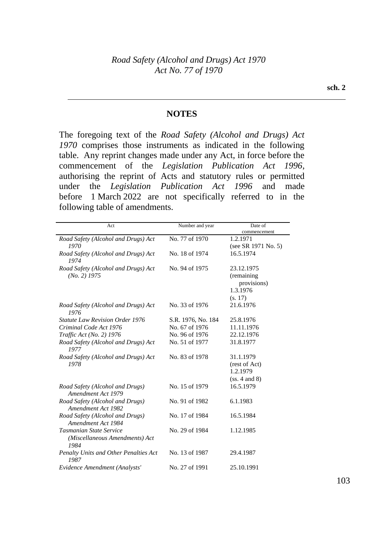### **NOTES**

The foregoing text of the *Road Safety (Alcohol and Drugs) Act 1970* comprises those instruments as indicated in the following table. Any reprint changes made under any Act, in force before the commencement of the *Legislation Publication Act 1996*, authorising the reprint of Acts and statutory rules or permitted under the *Legislation Publication Act 1996* and made before 1 March 2022 are not specifically referred to in the following table of amendments.

| Act                                                               | Number and year    | Date of                                             |
|-------------------------------------------------------------------|--------------------|-----------------------------------------------------|
|                                                                   |                    | commencement                                        |
| Road Safety (Alcohol and Drugs) Act                               | No. 77 of 1970     | 1.2.1971                                            |
| 1970                                                              |                    | (see SR 1971 No. 5)                                 |
| Road Safety (Alcohol and Drugs) Act<br>1974                       | No. 18 of 1974     | 16.5.1974                                           |
| Road Safety (Alcohol and Drugs) Act<br>$(No. 2)$ 1975             | No. 94 of 1975     | 23.12.1975<br>(remaining<br>provisions)<br>1.3.1976 |
|                                                                   |                    | (s. 17)                                             |
| Road Safety (Alcohol and Drugs) Act<br>1976                       | No. 33 of 1976     | 21.6.1976                                           |
| <b>Statute Law Revision Order 1976</b>                            | S.R. 1976, No. 184 | 25.8.1976                                           |
| Criminal Code Act 1976                                            | No. 67 of 1976     | 11.11.1976                                          |
| Traffic Act (No. 2) 1976                                          | No. 96 of 1976     | 22.12.1976                                          |
| Road Safety (Alcohol and Drugs) Act<br>1977                       | No. 51 of 1977     | 31.8.1977                                           |
| Road Safety (Alcohol and Drugs) Act<br>1978                       | No. 83 of 1978     | 31.1.1979                                           |
|                                                                   |                    | (rest of Act)<br>1.2.1979                           |
|                                                                   |                    | (ss. 4 and 8)                                       |
| Road Safety (Alcohol and Drugs)<br>Amendment Act 1979             | No. 15 of 1979     | 16.5.1979                                           |
| Road Safety (Alcohol and Drugs)<br>Amendment Act 1982             | No. 91 of 1982     | 6.1.1983                                            |
| Road Safety (Alcohol and Drugs)<br>Amendment Act 1984             | No. 17 of 1984     | 16.5.1984                                           |
| Tasmanian State Service<br>(Miscellaneous Amendments) Act<br>1984 | No. 29 of 1984     | 1.12.1985                                           |
| Penalty Units and Other Penalties Act<br>1987                     | No. 13 of 1987     | 29.4.1987                                           |
| Evidence Amendment (Analysts'                                     | No. 27 of 1991     | 25.10.1991                                          |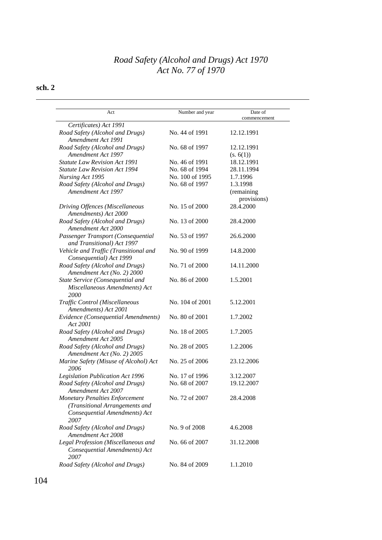| Act                                                                                                              | Number and year | Date of<br>commencement               |
|------------------------------------------------------------------------------------------------------------------|-----------------|---------------------------------------|
| Certificates) Act 1991                                                                                           |                 |                                       |
| Road Safety (Alcohol and Drugs)<br>Amendment Act 1991                                                            | No. 44 of 1991  | 12.12.1991                            |
| Road Safety (Alcohol and Drugs)                                                                                  | No. 68 of 1997  | 12.12.1991                            |
| Amendment Act 1997                                                                                               |                 | (s. 6(1))                             |
| Statute Law Revision Act 1991<br><b>Statute Law Revision Act 1994</b>                                            | No. 46 of 1991  | 18.12.1991<br>28.11.1994              |
|                                                                                                                  | No. 68 of 1994  |                                       |
| Nursing Act 1995                                                                                                 | No. 100 of 1995 | 1.7.1996                              |
| Road Safety (Alcohol and Drugs)<br>Amendment Act 1997                                                            | No. 68 of 1997  | 1.3.1998<br>(remaining<br>provisions) |
| Driving Offences (Miscellaneous<br>Amendments) Act 2000                                                          | No. 15 of 2000  | 28.4.2000                             |
| Road Safety (Alcohol and Drugs)<br>Amendment Act 2000                                                            | No. 13 of 2000  | 28.4.2000                             |
| Passenger Transport (Consequential<br>and Transitional) Act 1997                                                 | No. 53 of 1997  | 26.6.2000                             |
| Vehicle and Traffic (Transitional and<br>Consequential) Act 1999                                                 | No. 90 of 1999  | 14.8.2000                             |
| Road Safety (Alcohol and Drugs)<br>Amendment Act (No. 2) 2000                                                    | No. 71 of 2000  | 14.11.2000                            |
| State Service (Consequential and<br>Miscellaneous Amendments) Act<br>2000                                        | No. 86 of 2000  | 1.5.2001                              |
| Traffic Control (Miscellaneous<br>Amendments) Act 2001                                                           | No. 104 of 2001 | 5.12.2001                             |
| Evidence (Consequential Amendments)<br>Act 2001                                                                  | No. 80 of 2001  | 1.7.2002                              |
| Road Safety (Alcohol and Drugs)<br><b>Amendment Act 2005</b>                                                     | No. 18 of 2005  | 1.7.2005                              |
| Road Safety (Alcohol and Drugs)<br>Amendment Act (No. 2) 2005                                                    | No. 28 of 2005  | 1.2.2006                              |
| Marine Safety (Misuse of Alcohol) Act<br>2006                                                                    | No. 25 of 2006  | 23.12.2006                            |
| Legislation Publication Act 1996                                                                                 | No. 17 of 1996  | 3.12.2007                             |
| Road Safety (Alcohol and Drugs)<br>Amendment Act 2007                                                            | No. 68 of 2007  | 19.12.2007                            |
| <b>Monetary Penalties Enforcement</b><br>(Transitional Arrangements and<br>Consequential Amendments) Act<br>2007 | No. 72 of 2007  | 28.4.2008                             |
| Road Safety (Alcohol and Drugs)<br>Amendment Act 2008                                                            | No. 9 of 2008   | 4.6.2008                              |
| Legal Profession (Miscellaneous and<br>Consequential Amendments) Act<br>2007                                     | No. 66 of 2007  | 31.12.2008                            |
| Road Safety (Alcohol and Drugs)                                                                                  | No. 84 of 2009  | 1.1.2010                              |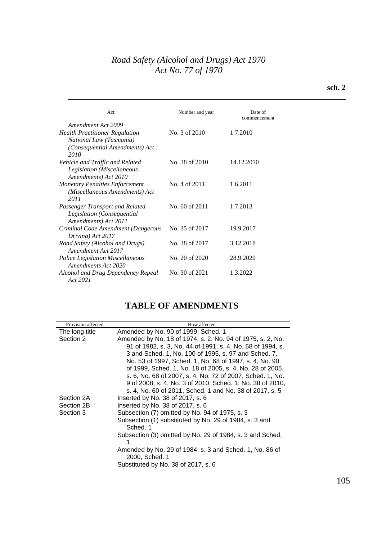| Act                                     | Number and year | Date of      |
|-----------------------------------------|-----------------|--------------|
|                                         |                 | commencement |
| Amendment Act 2009                      |                 |              |
| <b>Health Practitioner Regulation</b>   | No. 3 of 2010   | 1.7.2010     |
| National Law (Tasmania)                 |                 |              |
| (Consequential Amendments) Act          |                 |              |
| 2010                                    |                 |              |
| Vehicle and Traffic and Related         | No. 38 of 2010  | 14.12.2010   |
| Legislation (Miscellaneous              |                 |              |
| Amendments) Act 2010                    |                 |              |
| <b>Monetary Penalties Enforcement</b>   | No. 4 of 2011   | 1.6.2011     |
| (Miscellaneous Amendments) Act          |                 |              |
| 2011                                    |                 |              |
| Passenger Transport and Related         | No. 60 of 2011  | 1.7.2013     |
| Legislation (Consequential              |                 |              |
| Amendments) Act 2011                    |                 |              |
| Criminal Code Amendment (Dangerous      | No. 35 of 2017  | 19.9.2017    |
| Driving) Act 2017                       |                 |              |
| Road Safety (Alcohol and Drugs)         | No. 38 of 2017  | 3.12.2018    |
| Amendment Act 2017                      |                 |              |
| <b>Police Legislation Miscellaneous</b> | No. 20 of 2020  | 28.9.2020    |
| Amendments Act 2020                     |                 |              |
| Alcohol and Drug Dependency Repeal      | No. 30 of 2021  | 1.3.2022     |
| Act 2021                                |                 |              |

# **TABLE OF AMENDMENTS**

| Provision affected | How affected                                                              |
|--------------------|---------------------------------------------------------------------------|
| The long title     | Amended by No. 90 of 1999, Sched. 1                                       |
| Section 2          | Amended by No. 18 of 1974, s. 2, No. 94 of 1975, s. 2, No.                |
|                    | 91 of 1982, s. 3, No. 44 of 1991, s. 4, No. 68 of 1994, s.                |
|                    | 3 and Sched. 1, No. 100 of 1995, s. 97 and Sched. 7,                      |
|                    | No. 53 of 1997, Sched. 1, No. 68 of 1997, s. 4, No. 90                    |
|                    | of 1999, Sched. 1, No. 18 of 2005, s. 4, No. 28 of 2005,                  |
|                    | s. 6, No. 68 of 2007, s. 4, No. 72 of 2007, Sched. 1, No.                 |
|                    | 9 of 2008, s. 4, No. 3 of 2010, Sched. 1, No. 38 of 2010,                 |
|                    | s. 4, No. 60 of 2011, Sched. 1 and No. 38 of 2017, s. 5                   |
| Section 2A         | Inserted by No. 38 of 2017, s. 6                                          |
| Section 2B         | Inserted by No. 38 of 2017, s. 6                                          |
| Section 3          | Subsection (7) omitted by No. 94 of 1975, s. 3                            |
|                    | Subsection (1) substituted by No. 29 of 1984, s. 3 and<br>Sched. 1        |
|                    | Subsection (3) omitted by No. 29 of 1984, s. 3 and Sched.<br>1            |
|                    | Amended by No. 29 of 1984, s. 3 and Sched. 1, No. 86 of<br>2000, Sched. 1 |
|                    | Substituted by No. 38 of 2017, s. 6                                       |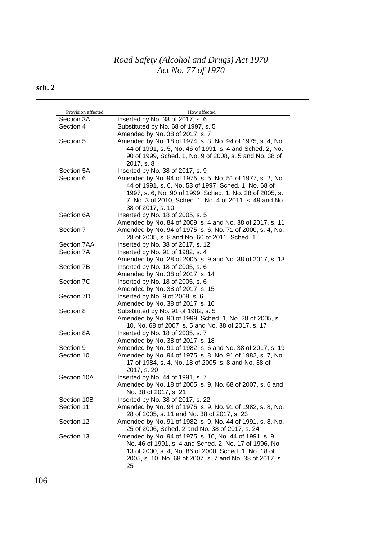| Provision affected | How affected                                               |
|--------------------|------------------------------------------------------------|
| Section 3A         | Inserted by No. 38 of 2017, s. 6                           |
| Section 4          | Substituted by No. 68 of 1997, s. 5                        |
|                    | Amended by No. 38 of 2017, s. 7                            |
| Section 5          | Amended by No. 18 of 1974, s. 3, No. 94 of 1975, s. 4, No. |
|                    | 44 of 1991, s. 5, No. 46 of 1991, s. 4 and Sched. 2, No.   |
|                    | 90 of 1999, Sched. 1, No. 9 of 2008, s. 5 and No. 38 of    |
|                    | 2017, s. 8                                                 |
| Section 5A         | Inserted by No. 38 of 2017, s. 9                           |
| Section 6          | Amended by No. 94 of 1975, s. 5, No. 51 of 1977, s. 2, No. |
|                    | 44 of 1991, s. 6, No. 53 of 1997, Sched. 1, No. 68 of      |
|                    | 1997, s. 6, No. 90 of 1999, Sched. 1, No. 28 of 2005, s.   |
|                    | 7, No. 3 of 2010, Sched. 1, No. 4 of 2011, s. 49 and No.   |
|                    | 38 of 2017, s. 10                                          |
| Section 6A         | Inserted by No. 18 of 2005, s. 5                           |
|                    | Amended by No. 84 of 2009, s. 4 and No. 38 of 2017, s. 11  |
| Section 7          | Amended by No. 94 of 1975, s. 6, No. 71 of 2000, s. 4, No. |
|                    | 28 of 2005, s. 8 and No. 60 of 2011, Sched. 1              |
| Section 7AA        | Inserted by No. 38 of 2017, s. 12                          |
| Section 7A         | Inserted by No. 91 of 1982, s. 4                           |
|                    | Amended by No. 28 of 2005, s. 9 and No. 38 of 2017, s. 13  |
| Section 7B         | Inserted by No. 18 of 2005, s. 6                           |
|                    | Amended by No. 38 of 2017, s. 14                           |
| Section 7C         | Inserted by No. 18 of 2005, s. 6                           |
|                    | Amended by No. 38 of 2017, s. 15                           |
| Section 7D         | Inserted by No. 9 of 2008, s. 6                            |
|                    | Amended by No. 38 of 2017, s. 16                           |
| Section 8          | Substituted by No. 91 of 1982, s. 5                        |
|                    | Amended by No. 90 of 1999, Sched. 1, No. 28 of 2005, s.    |
|                    | 10, No. 68 of 2007, s. 5 and No. 38 of 2017, s. 17         |
| Section 8A         | Inserted by No. 18 of 2005, s. 7                           |
|                    | Amended by No. 38 of 2017, s. 18                           |
| Section 9          | Amended by No. 91 of 1982, s. 6 and No. 38 of 2017, s. 19  |
| Section 10         | Amended by No. 94 of 1975, s. 8, No. 91 of 1982, s. 7, No. |
|                    | 17 of 1984, s. 4, No. 18 of 2005, s. 8 and No. 38 of       |
|                    | 2017, s. 20                                                |
| Section 10A        | Inserted by No. 44 of 1991, s. 7                           |
|                    | Amended by No. 18 of 2005, s. 9, No. 68 of 2007, s. 6 and  |
|                    | No. 38 of 2017, s. 21                                      |
| Section 10B        | Inserted by No. 38 of 2017, s. 22                          |
| Section 11         | Amended by No. 94 of 1975, s. 9, No. 91 of 1982, s. 8, No. |
|                    | 28 of 2005, s. 11 and No. 38 of 2017, s. 23                |
| Section 12         | Amended by No. 91 of 1982, s. 9, No. 44 of 1991, s. 8, No. |
|                    | 25 of 2006, Sched. 2 and No. 38 of 2017, s. 24             |
| Section 13         | Amended by No. 94 of 1975, s. 10, No. 44 of 1991, s. 9,    |
|                    | No. 46 of 1991, s. 4 and Sched. 2, No. 17 of 1996, No.     |
|                    | 13 of 2000, s. 4, No. 86 of 2000, Sched. 1, No. 18 of      |
|                    |                                                            |
|                    | 25                                                         |
|                    | 2005, s. 10, No. 68 of 2007, s. 7 and No. 38 of 2017, s.   |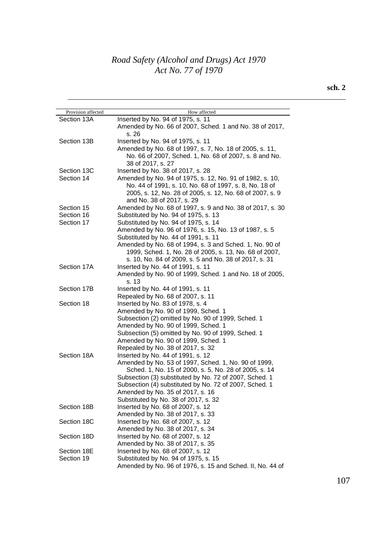| Provision affected | How affected                                                     |
|--------------------|------------------------------------------------------------------|
| Section 13A        | Inserted by No. 94 of 1975, s. 11                                |
|                    | Amended by No. 66 of 2007, Sched. 1 and No. 38 of 2017,<br>s. 26 |
| Section 13B        | Inserted by No. 94 of 1975, s. 11                                |
|                    | Amended by No. 68 of 1997, s. 7, No. 18 of 2005, s. 11,          |
|                    | No. 66 of 2007, Sched. 1, No. 68 of 2007, s. 8 and No.           |
|                    | 38 of 2017, s. 27                                                |
| Section 13C        | Inserted by No. 38 of 2017, s. 28                                |
| Section 14         | Amended by No. 94 of 1975, s. 12, No. 91 of 1982, s. 10,         |
|                    | No. 44 of 1991, s. 10, No. 68 of 1997, s. 8, No. 18 of           |
|                    | 2005, s. 12, No. 28 of 2005, s. 12, No. 68 of 2007, s. 9         |
|                    | and No. 38 of 2017, s. 29                                        |
| Section 15         | Amended by No. 68 of 1997, s. 9 and No. 38 of 2017, s. 30        |
| Section 16         | Substituted by No. 94 of 1975, s. 13                             |
| Section 17         | Substituted by No. 94 of 1975, s. 14                             |
|                    | Amended by No. 96 of 1976, s. 15, No. 13 of 1987, s. 5           |
|                    | Substituted by No. 44 of 1991, s. 11                             |
|                    | Amended by No. 68 of 1994, s. 3 and Sched. 1, No. 90 of          |
|                    | 1999, Sched. 1, No. 28 of 2005, s. 13, No. 68 of 2007,           |
|                    | s. 10, No. 84 of 2009, s. 5 and No. 38 of 2017, s. 31            |
| Section 17A        | Inserted by No. 44 of 1991, s. 11                                |
|                    | Amended by No. 90 of 1999, Sched. 1 and No. 18 of 2005,          |
|                    | s. 13                                                            |
| Section 17B        | Inserted by No. 44 of 1991, s. 11                                |
|                    | Repealed by No. 68 of 2007, s. 11                                |
| Section 18         | Inserted by No. 83 of 1978, s. 4                                 |
|                    | Amended by No. 90 of 1999, Sched. 1                              |
|                    | Subsection (2) omitted by No. 90 of 1999, Sched. 1               |
|                    | Amended by No. 90 of 1999, Sched. 1                              |
|                    | Subsection (5) omitted by No. 90 of 1999, Sched. 1               |
|                    | Amended by No. 90 of 1999, Sched. 1                              |
|                    | Repealed by No. 38 of 2017, s. 32                                |
| Section 18A        | Inserted by No. 44 of 1991, s. 12                                |
|                    | Amended by No. 53 of 1997, Sched. 1, No. 90 of 1999,             |
|                    | Sched. 1, No. 15 of 2000, s. 5, No. 28 of 2005, s. 14            |
|                    | Subsection (3) substituted by No. 72 of 2007, Sched. 1           |
|                    | Subsection (4) substituted by No. 72 of 2007, Sched. 1           |
|                    | Amended by No. 35 of 2017, s. 16                                 |
|                    | Substituted by No. 38 of 2017, s. 32                             |
| Section 18B        | Inserted by No. 68 of 2007, s. 12                                |
|                    | Amended by No. 38 of 2017, s. 33                                 |
| Section 18C        | Inserted by No. 68 of 2007, s. 12                                |
|                    | Amended by No. 38 of 2017, s. 34                                 |
| Section 18D        | Inserted by No. 68 of 2007, s. 12                                |
|                    | Amended by No. 38 of 2017, s. 35                                 |
| Section 18E        | Inserted by No. 68 of 2007, s. 12                                |
| Section 19         | Substituted by No. 94 of 1975, s. 15                             |
|                    | Amended by No. 96 of 1976, s. 15 and Sched. II, No. 44 of        |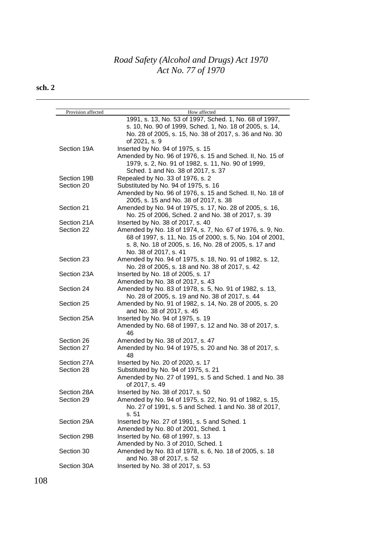| Provision affected | How affected                                                                         |
|--------------------|--------------------------------------------------------------------------------------|
|                    | 1991, s. 13, No. 53 of 1997, Sched. 1, No. 68 of 1997,                               |
|                    | s. 10, No. 90 of 1999, Sched. 1, No. 18 of 2005, s. 14,                              |
|                    | No. 28 of 2005, s. 15, No. 38 of 2017, s. 36 and No. 30<br>of 2021, s. 9             |
|                    |                                                                                      |
| Section 19A        | Inserted by No. 94 of 1975, s. 15                                                    |
|                    | Amended by No. 96 of 1976, s. 15 and Sched. II, No. 15 of                            |
|                    | 1979, s. 2, No. 91 of 1982, s. 11, No. 90 of 1999,                                   |
|                    | Sched. 1 and No. 38 of 2017, s. 37                                                   |
| Section 19B        | Repealed by No. 33 of 1976, s. 2                                                     |
| Section 20         | Substituted by No. 94 of 1975, s. 16                                                 |
|                    | Amended by No. 96 of 1976, s. 15 and Sched. II, No. 18 of                            |
|                    | 2005, s. 15 and No. 38 of 2017, s. 38                                                |
| Section 21         | Amended by No. 94 of 1975, s. 17, No. 28 of 2005, s. 16,                             |
|                    | No. 25 of 2006, Sched. 2 and No. 38 of 2017, s. 39                                   |
| Section 21A        | Inserted by No. 38 of 2017, s. 40                                                    |
| Section 22         | Amended by No. 18 of 1974, s. 7, No. 67 of 1976, s. 9, No.                           |
|                    | 68 of 1997, s. 11, No. 15 of 2000, s. 5, No. 104 of 2001,                            |
|                    | s. 8, No. 18 of 2005, s. 16, No. 28 of 2005, s. 17 and<br>No. 38 of 2017, s. 41      |
| Section 23         |                                                                                      |
|                    | Amended by No. 94 of 1975, s. 18, No. 91 of 1982, s. 12,                             |
| Section 23A        | No. 28 of 2005, s. 18 and No. 38 of 2017, s. 42<br>Inserted by No. 18 of 2005, s. 17 |
|                    | Amended by No. 38 of 2017, s. 43                                                     |
| Section 24         | Amended by No. 83 of 1978, s. 5, No. 91 of 1982, s. 13,                              |
|                    | No. 28 of 2005, s. 19 and No. 38 of 2017, s. 44                                      |
| Section 25         | Amended by No. 91 of 1982, s. 14, No. 28 of 2005, s. 20                              |
|                    | and No. 38 of 2017, s. 45                                                            |
| Section 25A        | Inserted by No. 94 of 1975, s. 19                                                    |
|                    | Amended by No. 68 of 1997, s. 12 and No. 38 of 2017, s.                              |
|                    | 46                                                                                   |
| Section 26         | Amended by No. 38 of 2017, s. 47                                                     |
| Section 27         | Amended by No. 94 of 1975, s. 20 and No. 38 of 2017, s.                              |
|                    | 48                                                                                   |
| Section 27A        | Inserted by No. 20 of 2020, s. 17                                                    |
| Section 28         | Substituted by No. 94 of 1975, s. 21                                                 |
|                    | Amended by No. 27 of 1991, s. 5 and Sched. 1 and No. 38                              |
|                    | of 2017, s. 49                                                                       |
| Section 28A        | Inserted by No. 38 of 2017, s. 50                                                    |
| Section 29         | Amended by No. 94 of 1975, s. 22, No. 91 of 1982, s. 15,                             |
|                    | No. 27 of 1991, s. 5 and Sched. 1 and No. 38 of 2017,                                |
|                    | s. 51                                                                                |
| Section 29A        | Inserted by No. 27 of 1991, s. 5 and Sched. 1                                        |
|                    | Amended by No. 80 of 2001, Sched. 1                                                  |
| Section 29B        | Inserted by No. 68 of 1997, s. 13                                                    |
|                    | Amended by No. 3 of 2010, Sched. 1                                                   |
| Section 30         | Amended by No. 83 of 1978, s. 6, No. 18 of 2005, s. 18                               |
|                    | and No. 38 of 2017, s. 52                                                            |
| Section 30A        | Inserted by No. 38 of 2017, s. 53                                                    |
|                    |                                                                                      |